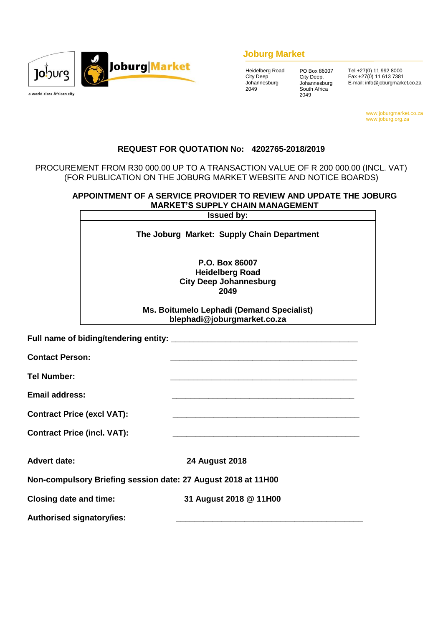

## **Joburg Market**

| Heidelberg Road |
|-----------------|
| City Deep       |
| Johannesburg    |
| 2049            |
|                 |

PO Box 86007 City Deep, Johannesburg South Africa 2049

Tel +27(0) 11 992 8000 Fax +27(0) 11 613 7381 E-mail: info@joburgmarket.co.za

> www.joburgmarket.co.za www.joburg.org.za

## **REQUEST FOR QUOTATION No: 4202765-2018/2019**

#### PROCUREMENT FROM R30 000.00 UP TO A TRANSACTION VALUE OF R 200 000.00 (INCL. VAT) (FOR PUBLICATION ON THE JOBURG MARKET WEBSITE AND NOTICE BOARDS)

## **APPOINTMENT OF A SERVICE PROVIDER TO REVIEW AND UPDATE THE JOBURG MARKET'S SUPPLY CHAIN MANAGEMENT**

**Issued by:**

**The Joburg Market: Supply Chain Department**

#### **P.O. Box 86007 Heidelberg Road City Deep Johannesburg 2049**

**Ms. Boitumelo Lephadi (Demand Specialist) blephadi@joburgmarket.co.za**

Full name of biding/tendering entity: Contact Person: **Tel Number: Email address: \_\_\_\_\_\_\_\_\_\_\_\_\_\_\_\_\_\_\_\_\_\_\_\_\_\_\_\_\_\_\_\_\_\_\_\_\_\_\_\_ Contract Price (excl VAT): Contract Price (incl. VAT): Advert date: 24 August 2018 Non-compulsory Briefing session date: 27 August 2018 at 11H00 Closing date and time: 31 August 2018 @ 11H00 Authorised signatory/ies: \_\_\_\_\_\_\_\_\_\_\_\_\_\_\_\_\_\_\_\_\_\_\_\_\_\_\_\_\_\_\_\_\_\_\_\_\_\_\_\_\_**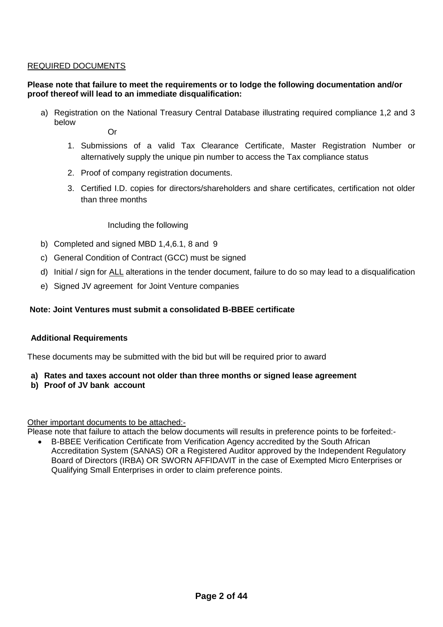#### REQUIRED DOCUMENTS

#### **Please note that failure to meet the requirements or to lodge the following documentation and/or proof thereof will lead to an immediate disqualification:**

- a) Registration on the National Treasury Central Database illustrating required compliance 1,2 and 3 below
	- Or
	- 1. Submissions of a valid Tax Clearance Certificate, Master Registration Number or alternatively supply the unique pin number to access the Tax compliance status
	- 2. Proof of company registration documents.
	- 3. Certified I.D. copies for directors/shareholders and share certificates, certification not older than three months

#### Including the following

- b) Completed and signed MBD 1,4,6.1, 8 and 9
- c) General Condition of Contract (GCC) must be signed
- d) Initial / sign for ALL alterations in the tender document, failure to do so may lead to a disqualification
- e) Signed JV agreement for Joint Venture companies

#### **Note: Joint Ventures must submit a consolidated B-BBEE certificate**

#### **Additional Requirements**

These documents may be submitted with the bid but will be required prior to award

- **a) Rates and taxes account not older than three months or signed lease agreement**
- **b) Proof of JV bank account**

#### Other important documents to be attached:-

Please note that failure to attach the below documents will results in preference points to be forfeited:-

 B-BBEE Verification Certificate from Verification Agency accredited by the South African Accreditation System (SANAS) OR a Registered Auditor approved by the Independent Regulatory Board of Directors (IRBA) OR SWORN AFFIDAVIT in the case of Exempted Micro Enterprises or Qualifying Small Enterprises in order to claim preference points.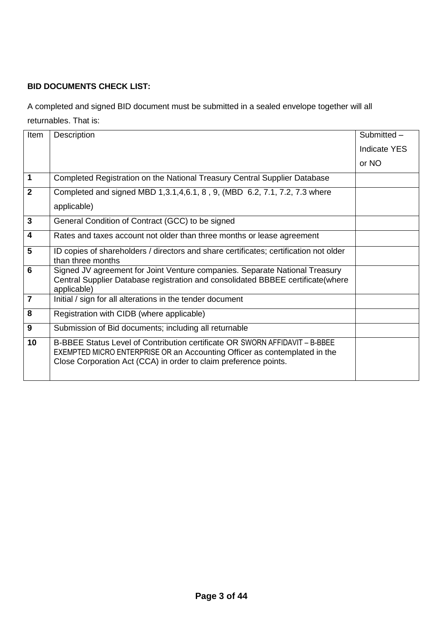## **BID DOCUMENTS CHECK LIST:**

A completed and signed BID document must be submitted in a sealed envelope together will all returnables. That is:

| Item                    | Description                                                                                                                                                                                                                  | Submitted $-$ |
|-------------------------|------------------------------------------------------------------------------------------------------------------------------------------------------------------------------------------------------------------------------|---------------|
|                         |                                                                                                                                                                                                                              | Indicate YES  |
|                         |                                                                                                                                                                                                                              | or NO         |
| 1                       | Completed Registration on the National Treasury Central Supplier Database                                                                                                                                                    |               |
| $\mathbf{2}$            | Completed and signed MBD 1,3.1,4,6.1, 8, 9, (MBD 6.2, 7.1, 7.2, 7.3 where                                                                                                                                                    |               |
|                         | applicable)                                                                                                                                                                                                                  |               |
| 3                       | General Condition of Contract (GCC) to be signed                                                                                                                                                                             |               |
| $\overline{\mathbf{4}}$ | Rates and taxes account not older than three months or lease agreement                                                                                                                                                       |               |
| 5                       | ID copies of shareholders / directors and share certificates; certification not older<br>than three months                                                                                                                   |               |
| 6                       | Signed JV agreement for Joint Venture companies. Separate National Treasury<br>Central Supplier Database registration and consolidated BBBEE certificate (where<br>applicable)                                               |               |
| $\overline{7}$          | Initial / sign for all alterations in the tender document                                                                                                                                                                    |               |
| 8                       | Registration with CIDB (where applicable)                                                                                                                                                                                    |               |
| 9                       | Submission of Bid documents; including all returnable                                                                                                                                                                        |               |
| 10                      | B-BBEE Status Level of Contribution certificate OR SWORN AFFIDAVIT - B-BBEE<br>EXEMPTED MICRO ENTERPRISE OR an Accounting Officer as contemplated in the<br>Close Corporation Act (CCA) in order to claim preference points. |               |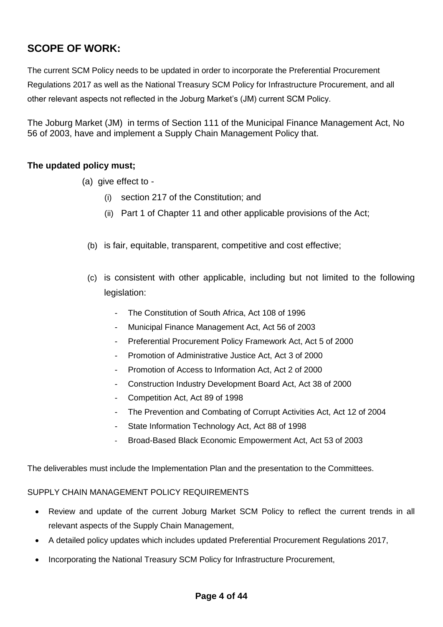## **SCOPE OF WORK:**

The current SCM Policy needs to be updated in order to incorporate the Preferential Procurement Regulations 2017 as well as the National Treasury SCM Policy for Infrastructure Procurement, and all other relevant aspects not reflected in the Joburg Market's (JM) current SCM Policy.

The Joburg Market (JM) in terms of Section 111 of the Municipal Finance Management Act, No 56 of 2003, have and implement a Supply Chain Management Policy that.

## **The updated policy must;**

- (a) give effect to
	- (i) section 217 of the Constitution; and
	- (ii) Part 1 of Chapter 11 and other applicable provisions of the Act;
	- (b) is fair, equitable, transparent, competitive and cost effective;
	- (c) is consistent with other applicable, including but not limited to the following legislation:
		- The Constitution of South Africa, Act 108 of 1996
		- Municipal Finance Management Act, Act 56 of 2003
		- Preferential Procurement Policy Framework Act, Act 5 of 2000
		- Promotion of Administrative Justice Act, Act 3 of 2000
		- Promotion of Access to Information Act, Act 2 of 2000
		- Construction Industry Development Board Act, Act 38 of 2000
		- Competition Act, Act 89 of 1998
		- The Prevention and Combating of Corrupt Activities Act, Act 12 of 2004
		- State Information Technology Act, Act 88 of 1998
		- Broad-Based Black Economic Empowerment Act, Act 53 of 2003

The deliverables must include the Implementation Plan and the presentation to the Committees.

## SUPPLY CHAIN MANAGEMENT POLICY REQUIREMENTS

- Review and update of the current Joburg Market SCM Policy to reflect the current trends in all relevant aspects of the Supply Chain Management,
- A detailed policy updates which includes updated Preferential Procurement Regulations 2017,
- Incorporating the National Treasury SCM Policy for Infrastructure Procurement,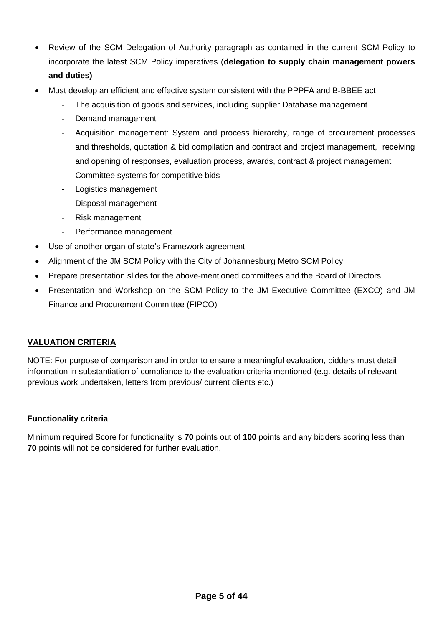- Review of the SCM Delegation of Authority paragraph as contained in the current SCM Policy to incorporate the latest SCM Policy imperatives (**delegation to supply chain management powers and duties)**
- Must develop an efficient and effective system consistent with the PPPFA and B-BBEE act
	- The acquisition of goods and services, including supplier Database management
	- Demand management
	- Acquisition management: System and process hierarchy, range of procurement processes and thresholds, quotation & bid compilation and contract and project management, receiving and opening of responses, evaluation process, awards, contract & project management
	- Committee systems for competitive bids
	- Logistics management
	- Disposal management
	- Risk management
	- Performance management
- Use of another organ of state's Framework agreement
- Alignment of the JM SCM Policy with the City of Johannesburg Metro SCM Policy,
- Prepare presentation slides for the above-mentioned committees and the Board of Directors
- Presentation and Workshop on the SCM Policy to the JM Executive Committee (EXCO) and JM Finance and Procurement Committee (FIPCO)

## **VALUATION CRITERIA**

NOTE: For purpose of comparison and in order to ensure a meaningful evaluation, bidders must detail information in substantiation of compliance to the evaluation criteria mentioned (e.g. details of relevant previous work undertaken, letters from previous/ current clients etc.)

## **Functionality criteria**

Minimum required Score for functionality is **70** points out of **100** points and any bidders scoring less than **70** points will not be considered for further evaluation.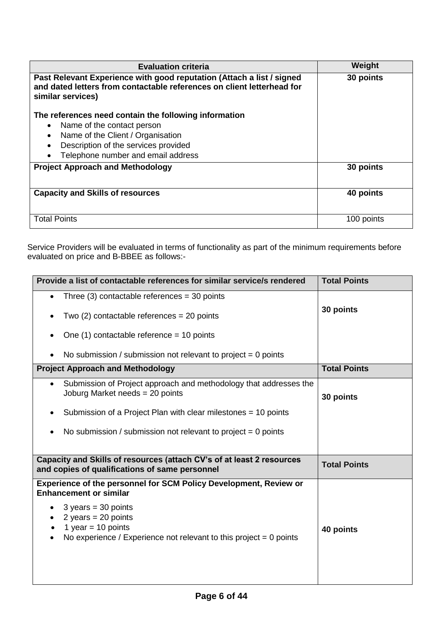| <b>Evaluation criteria</b>                                                                                                                                           | Weight     |
|----------------------------------------------------------------------------------------------------------------------------------------------------------------------|------------|
| Past Relevant Experience with good reputation (Attach a list / signed<br>and dated letters from contactable references on client letterhead for<br>similar services) | 30 points  |
| The references need contain the following information                                                                                                                |            |
| Name of the contact person                                                                                                                                           |            |
| Name of the Client / Organisation                                                                                                                                    |            |
| Description of the services provided                                                                                                                                 |            |
| Telephone number and email address                                                                                                                                   |            |
| <b>Project Approach and Methodology</b>                                                                                                                              | 30 points  |
| <b>Capacity and Skills of resources</b>                                                                                                                              | 40 points  |
| <b>Total Points</b>                                                                                                                                                  | 100 points |

Service Providers will be evaluated in terms of functionality as part of the minimum requirements before evaluated on price and B-BBEE as follows:-

| Provide a list of contactable references for similar service/s rendered                                                                                        | <b>Total Points</b> |
|----------------------------------------------------------------------------------------------------------------------------------------------------------------|---------------------|
| Three $(3)$ contactable references = 30 points<br>$\bullet$                                                                                                    |                     |
| Two $(2)$ contactable references = 20 points                                                                                                                   | 30 points           |
| One $(1)$ contactable reference = 10 points                                                                                                                    |                     |
| No submission / submission not relevant to project = $0$ points                                                                                                |                     |
| <b>Project Approach and Methodology</b>                                                                                                                        | <b>Total Points</b> |
| Submission of Project approach and methodology that addresses the<br>Joburg Market needs = 20 points                                                           | 30 points           |
| Submission of a Project Plan with clear milestones = 10 points                                                                                                 |                     |
| No submission / submission not relevant to project = $0$ points                                                                                                |                     |
| Capacity and Skills of resources (attach CV's of at least 2 resources<br>and copies of qualifications of same personnel                                        | <b>Total Points</b> |
| Experience of the personnel for SCM Policy Development, Review or<br><b>Enhancement or similar</b>                                                             |                     |
| $3 \text{ years} = 30 \text{ points}$<br>2 years = $20$ points<br>1 year = $10$ points<br>No experience / Experience not relevant to this project = $0$ points | 40 points           |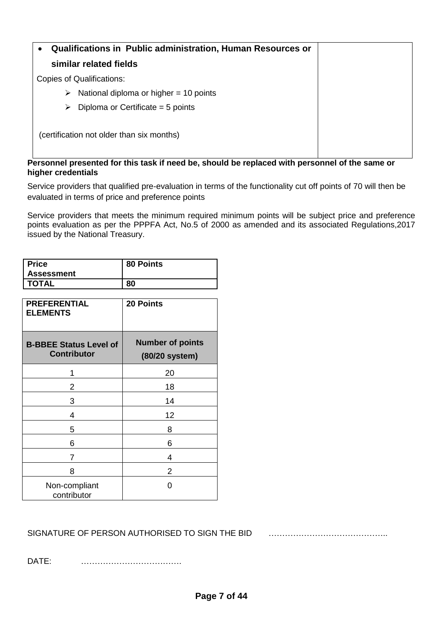| <b>Qualifications in Public administration, Human Resources or</b>                                                                          |  |
|---------------------------------------------------------------------------------------------------------------------------------------------|--|
| similar related fields                                                                                                                      |  |
| <b>Copies of Qualifications:</b>                                                                                                            |  |
| National diploma or higher $=$ 10 points<br>➤                                                                                               |  |
| Diploma or Certificate $= 5$ points<br>➤                                                                                                    |  |
| (certification not older than six months)<br>Dersennel presented for this took if need he, cheuld he replesed with nersennel of the seme or |  |

**Personnel presented for this task if need be, should be replaced with personnel of the same or higher credentials**

Service providers that qualified pre-evaluation in terms of the functionality cut off points of 70 will then be evaluated in terms of price and preference points

Service providers that meets the minimum required minimum points will be subject price and preference points evaluation as per the PPPFA Act, No.5 of 2000 as amended and its associated Regulations,2017 issued by the National Treasury.

| <b>Price</b><br><b>Assessment</b> | 80 Points |
|-----------------------------------|-----------|
| <b>TOTAL</b>                      | 80        |

| <b>PREFERENTIAL</b><br><b>ELEMENTS</b>              | 20 Points                                 |
|-----------------------------------------------------|-------------------------------------------|
| <b>B-BBEE Status Level of</b><br><b>Contributor</b> | <b>Number of points</b><br>(80/20 system) |
| 1                                                   | 20                                        |
| 2                                                   | 18                                        |
| 3                                                   | 14                                        |
| 4                                                   | 12                                        |
| 5                                                   | 8                                         |
| 6                                                   | 6                                         |
| 7                                                   | 4                                         |
| 8                                                   | 2                                         |
| Non-compliant<br>contributor                        | በ                                         |

SIGNATURE OF PERSON AUTHORISED TO SIGN THE BID **FIG. 1.1.1.1.1.1.1.1.1.1.1.1.1.1.** 

DATE: ……………………………….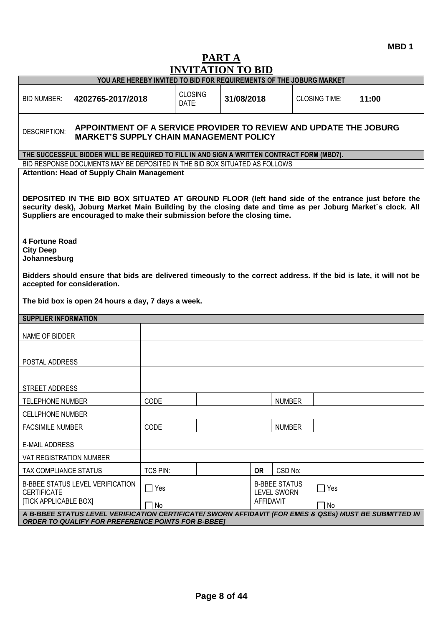**MBD 1**

## **PART A INVITATION TO BID**

| INVITATION TO DID<br>YOU ARE HEREBY INVITED TO BID FOR REQUIREMENTS OF THE JOBURG MARKET                                                                            |                                                                                                                                                                                                                                                                                                                                                    |                 |                         |            |                  |                                            |                      |                                                                                                                    |
|---------------------------------------------------------------------------------------------------------------------------------------------------------------------|----------------------------------------------------------------------------------------------------------------------------------------------------------------------------------------------------------------------------------------------------------------------------------------------------------------------------------------------------|-----------------|-------------------------|------------|------------------|--------------------------------------------|----------------------|--------------------------------------------------------------------------------------------------------------------|
|                                                                                                                                                                     |                                                                                                                                                                                                                                                                                                                                                    |                 |                         |            |                  |                                            |                      |                                                                                                                    |
| <b>BID NUMBER:</b>                                                                                                                                                  | 4202765-2017/2018                                                                                                                                                                                                                                                                                                                                  |                 | <b>CLOSING</b><br>DATE: | 31/08/2018 |                  |                                            | <b>CLOSING TIME:</b> | 11:00                                                                                                              |
| <b>DESCRIPTION:</b>                                                                                                                                                 | APPOINTMENT OF A SERVICE PROVIDER TO REVIEW AND UPDATE THE JOBURG<br><b>MARKET'S SUPPLY CHAIN MANAGEMENT POLICY</b>                                                                                                                                                                                                                                |                 |                         |            |                  |                                            |                      |                                                                                                                    |
|                                                                                                                                                                     | THE SUCCESSFUL BIDDER WILL BE REQUIRED TO FILL IN AND SIGN A WRITTEN CONTRACT FORM (MBD7).                                                                                                                                                                                                                                                         |                 |                         |            |                  |                                            |                      |                                                                                                                    |
|                                                                                                                                                                     | BID RESPONSE DOCUMENTS MAY BE DEPOSITED IN THE BID BOX SITUATED AS FOLLOWS                                                                                                                                                                                                                                                                         |                 |                         |            |                  |                                            |                      |                                                                                                                    |
|                                                                                                                                                                     | <b>Attention: Head of Supply Chain Management</b><br>DEPOSITED IN THE BID BOX SITUATED AT GROUND FLOOR (left hand side of the entrance just before the<br>security desk), Joburg Market Main Building by the closing date and time as per Joburg Market's clock. All<br>Suppliers are encouraged to make their submission before the closing time. |                 |                         |            |                  |                                            |                      |                                                                                                                    |
| <b>4 Fortune Road</b><br><b>City Deep</b><br>Johannesburg                                                                                                           |                                                                                                                                                                                                                                                                                                                                                    |                 |                         |            |                  |                                            |                      |                                                                                                                    |
|                                                                                                                                                                     | accepted for consideration.                                                                                                                                                                                                                                                                                                                        |                 |                         |            |                  |                                            |                      | Bidders should ensure that bids are delivered timeously to the correct address. If the bid is late, it will not be |
|                                                                                                                                                                     | The bid box is open 24 hours a day, 7 days a week.                                                                                                                                                                                                                                                                                                 |                 |                         |            |                  |                                            |                      |                                                                                                                    |
| <b>SUPPLIER INFORMATION</b>                                                                                                                                         |                                                                                                                                                                                                                                                                                                                                                    |                 |                         |            |                  |                                            |                      |                                                                                                                    |
| NAME OF BIDDER                                                                                                                                                      |                                                                                                                                                                                                                                                                                                                                                    |                 |                         |            |                  |                                            |                      |                                                                                                                    |
| POSTAL ADDRESS                                                                                                                                                      |                                                                                                                                                                                                                                                                                                                                                    |                 |                         |            |                  |                                            |                      |                                                                                                                    |
| STREET ADDRESS                                                                                                                                                      |                                                                                                                                                                                                                                                                                                                                                    |                 |                         |            |                  |                                            |                      |                                                                                                                    |
| <b>TELEPHONE NUMBER</b>                                                                                                                                             |                                                                                                                                                                                                                                                                                                                                                    | CODE            |                         |            |                  | <b>NUMBER</b>                              |                      |                                                                                                                    |
| <b>CELLPHONE NUMBER</b>                                                                                                                                             |                                                                                                                                                                                                                                                                                                                                                    |                 |                         |            |                  |                                            |                      |                                                                                                                    |
| <b>FACSIMILE NUMBER</b>                                                                                                                                             |                                                                                                                                                                                                                                                                                                                                                    | CODE            |                         |            |                  | <b>NUMBER</b>                              |                      |                                                                                                                    |
| <b>E-MAIL ADDRESS</b>                                                                                                                                               |                                                                                                                                                                                                                                                                                                                                                    |                 |                         |            |                  |                                            |                      |                                                                                                                    |
| VAT REGISTRATION NUMBER                                                                                                                                             |                                                                                                                                                                                                                                                                                                                                                    |                 |                         |            |                  |                                            |                      |                                                                                                                    |
| TAX COMPLIANCE STATUS                                                                                                                                               |                                                                                                                                                                                                                                                                                                                                                    | <b>TCS PIN:</b> |                         |            | <b>OR</b>        | CSD No:                                    |                      |                                                                                                                    |
| <b>B-BBEE STATUS LEVEL VERIFICATION</b><br>$\Box$ Yes<br><b>CERTIFICATE</b><br><b>[TICK APPLICABLE BOX]</b>                                                         |                                                                                                                                                                                                                                                                                                                                                    | No              |                         |            | <b>AFFIDAVIT</b> | <b>B-BBEE STATUS</b><br><b>LEVEL SWORN</b> | $\Box$ Yes<br>No     |                                                                                                                    |
| A B-BBEE STATUS LEVEL VERIFICATION CERTIFICATE/ SWORN AFFIDAVIT (FOR EMES & QSEs) MUST BE SUBMITTED IN<br><b>ORDER TO QUALIFY FOR PREFERENCE POINTS FOR B-BBEET</b> |                                                                                                                                                                                                                                                                                                                                                    |                 |                         |            |                  |                                            |                      |                                                                                                                    |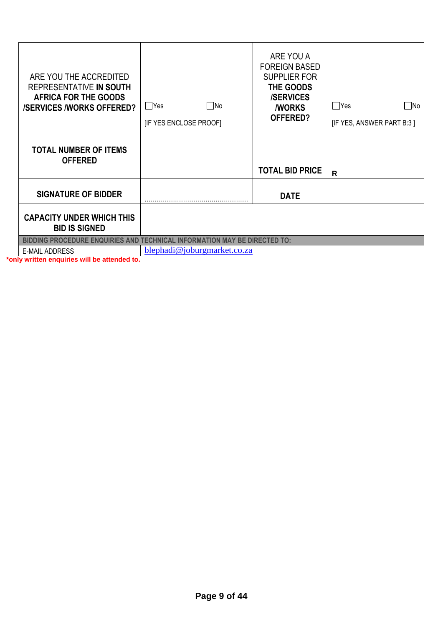| ARE YOU THE ACCREDITED<br>REPRESENTATIVE IN SOUTH<br><b>AFRICA FOR THE GOODS</b><br><b>/SERVICES /WORKS OFFERED?</b> | $\square$ No<br>$\Box$ Yes<br>[IF YES ENCLOSE PROOF]                                                            | ARE YOU A<br><b>FOREIGN BASED</b><br><b>SUPPLIER FOR</b><br>THE GOODS<br><b>/SERVICES</b><br><b><i>NORKS</i></b><br>OFFERED? | $\bigcap$ Yes<br>lNo<br>[IF YES, ANSWER PART B:3] |  |
|----------------------------------------------------------------------------------------------------------------------|-----------------------------------------------------------------------------------------------------------------|------------------------------------------------------------------------------------------------------------------------------|---------------------------------------------------|--|
| <b>TOTAL NUMBER OF ITEMS</b><br><b>OFFERED</b>                                                                       |                                                                                                                 | <b>TOTAL BID PRICE</b>                                                                                                       | $\mathsf{R}$                                      |  |
| <b>SIGNATURE OF BIDDER</b>                                                                                           |                                                                                                                 | <b>DATE</b>                                                                                                                  |                                                   |  |
| <b>CAPACITY UNDER WHICH THIS</b><br><b>BID IS SIGNED</b>                                                             |                                                                                                                 |                                                                                                                              |                                                   |  |
|                                                                                                                      |                                                                                                                 |                                                                                                                              |                                                   |  |
| <b>E-MAIL ADDRESS</b>                                                                                                |                                                                                                                 |                                                                                                                              |                                                   |  |
|                                                                                                                      | <b>BIDDING PROCEDURE ENQUIRIES AND TECHNICAL INFORMATION MAY BE DIRECTED TO:</b><br>blephadi@joburgmarket.co.za |                                                                                                                              |                                                   |  |

**\*only written enquiries will be attended to.**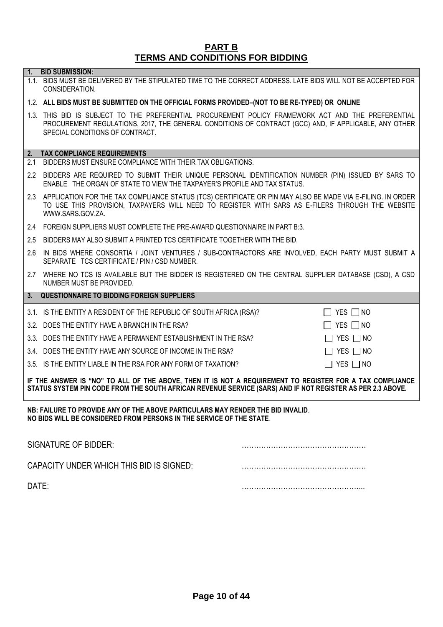## **PART B TERMS AND CONDITIONS FOR BIDDING**

|               | 1. BID SUBMISSION:                                                                                                                                                                                                                             |                      |
|---------------|------------------------------------------------------------------------------------------------------------------------------------------------------------------------------------------------------------------------------------------------|----------------------|
|               | 1.1. BIDS MUST BE DELIVERED BY THE STIPULATED TIME TO THE CORRECT ADDRESS. LATE BIDS WILL NOT BE ACCEPTED FOR<br>CONSIDERATION.                                                                                                                |                      |
|               | 1.2. ALL BIDS MUST BE SUBMITTED ON THE OFFICIAL FORMS PROVIDED-(NOT TO BE RE-TYPED) OR ONLINE                                                                                                                                                  |                      |
|               | 1.3. THIS BID IS SUBJECT TO THE PREFERENTIAL PROCUREMENT POLICY FRAMEWORK ACT AND THE PREFERENTIAL<br>PROCUREMENT REGULATIONS, 2017, THE GENERAL CONDITIONS OF CONTRACT (GCC) AND, IF APPLICABLE, ANY OTHER<br>SPECIAL CONDITIONS OF CONTRACT. |                      |
| 2.            | <b>TAX COMPLIANCE REQUIREMENTS</b>                                                                                                                                                                                                             |                      |
| 2.1           | BIDDERS MUST ENSURE COMPLIANCE WITH THEIR TAX OBLIGATIONS.                                                                                                                                                                                     |                      |
| $2.2^{\circ}$ | BIDDERS ARE REQUIRED TO SUBMIT THEIR UNIQUE PERSONAL IDENTIFICATION NUMBER (PIN) ISSUED BY SARS TO<br>ENABLE THE ORGAN OF STATE TO VIEW THE TAXPAYER'S PROFILE AND TAX STATUS.                                                                 |                      |
|               | 2.3 APPLICATION FOR THE TAX COMPLIANCE STATUS (TCS) CERTIFICATE OR PIN MAY ALSO BE MADE VIA E-FILING. IN ORDER<br>TO USE THIS PROVISION, TAXPAYERS WILL NEED TO REGISTER WITH SARS AS E-FILERS THROUGH THE WEBSITE<br>WWW.SARS.GOV.ZA.         |                      |
|               | 2.4 FOREIGN SUPPLIERS MUST COMPLETE THE PRE-AWARD QUESTIONNAIRE IN PART B:3.                                                                                                                                                                   |                      |
| 2.5           | BIDDERS MAY ALSO SUBMIT A PRINTED TCS CERTIFICATE TOGETHER WITH THE BID.                                                                                                                                                                       |                      |
| 2.6           | IN BIDS WHERE CONSORTIA / JOINT VENTURES / SUB-CONTRACTORS ARE INVOLVED, EACH PARTY MUST SUBMIT A<br>SEPARATE TCS CERTIFICATE / PIN / CSD NUMBER.                                                                                              |                      |
|               |                                                                                                                                                                                                                                                |                      |
|               | 2.7 WHERE NO TCS IS AVAILABLE BUT THE BIDDER IS REGISTERED ON THE CENTRAL SUPPLIER DATABASE (CSD), A CSD<br>NUMBER MUST BE PROVIDED.                                                                                                           |                      |
| 3.            | <b>QUESTIONNAIRE TO BIDDING FOREIGN SUPPLIERS</b>                                                                                                                                                                                              |                      |
|               | 3.1. IS THE ENTITY A RESIDENT OF THE REPUBLIC OF SOUTH AFRICA (RSA)?                                                                                                                                                                           | $\Box$ YES $\Box$ NO |
|               | 3.2. DOES THE ENTITY HAVE A BRANCH IN THE RSA?                                                                                                                                                                                                 | $\Box$ YES $\Box$ NO |
|               | 3.3. DOES THE ENTITY HAVE A PERMANENT ESTABLISHMENT IN THE RSA?                                                                                                                                                                                | $\Box$ YES $\Box$ NO |
|               | 3.4. DOES THE ENTITY HAVE ANY SOURCE OF INCOME IN THE RSA?                                                                                                                                                                                     | YES $\Box$ NO        |
|               | 3.5. IS THE ENTITY LIABLE IN THE RSA FOR ANY FORM OF TAXATION?                                                                                                                                                                                 | YES $\Box$ NO        |
|               | IF THE ANSWER IS "NO" TO ALL OF THE ABOVE, THEN IT IS NOT A REQUIREMENT TO REGISTER FOR A TAX COMPLIANCE<br>STATUS SYSTEM PIN CODE FROM THE SOUTH AFRICAN REVENUE SERVICE (SARS) AND IF NOT REGISTER AS PER 2.3 ABOVE.                         |                      |
|               | NB: FAILURE TO PROVIDE ANY OF THE ABOVE PARTICULARS MAY RENDER THE BID INVALID.<br>NO BIDS WILL BE CONSIDERED FROM PERSONS IN THE SERVICE OF THE STATE.                                                                                        |                      |
|               | <b>SIGNATURE OF BIDDER:</b>                                                                                                                                                                                                                    |                      |

DATE: …………………………………………...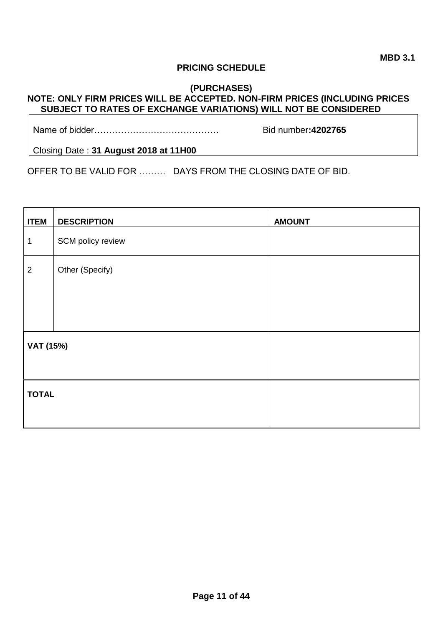## **PRICING SCHEDULE**

## **(PURCHASES) NOTE: ONLY FIRM PRICES WILL BE ACCEPTED. NON-FIRM PRICES (INCLUDING PRICES SUBJECT TO RATES OF EXCHANGE VARIATIONS) WILL NOT BE CONSIDERED**

Name of bidder…………………………………… Bid number**:4202765**

Closing Date : **31 August 2018 at 11H00**

OFFER TO BE VALID FOR ……… DAYS FROM THE CLOSING DATE OF BID.

| <b>ITEM</b>    | <b>DESCRIPTION</b> | <b>AMOUNT</b> |  |
|----------------|--------------------|---------------|--|
| 1              | SCM policy review  |               |  |
| $\overline{2}$ | Other (Specify)    |               |  |
|                |                    |               |  |
|                |                    |               |  |
|                | VAT (15%)          |               |  |
|                |                    |               |  |
| <b>TOTAL</b>   |                    |               |  |
|                |                    |               |  |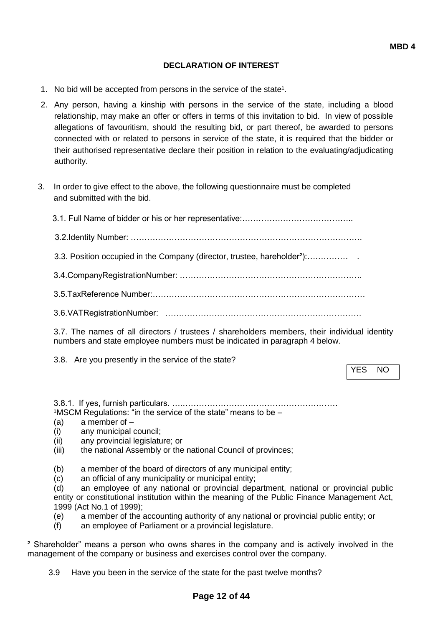## **DECLARATION OF INTEREST**

- 1. No bid will be accepted from persons in the service of the state<sup>1</sup>.
- 2. Any person, having a kinship with persons in the service of the state, including a blood relationship, may make an offer or offers in terms of this invitation to bid. In view of possible allegations of favouritism, should the resulting bid, or part thereof, be awarded to persons connected with or related to persons in service of the state, it is required that the bidder or their authorised representative declare their position in relation to the evaluating/adjudicating authority.
- 3. In order to give effect to the above, the following questionnaire must be completed and submitted with the bid.

3.7. The names of all directors / trustees / shareholders members, their individual identity numbers and state employee numbers must be indicated in paragraph 4 below.

3.8. Are you presently in the service of the state?

YES INO

3.8.1. If yes, furnish particulars. ….………………………………………………… <sup>1</sup>MSCM Regulations: "in the service of the state" means to be  $-$ 

- (a) a member of –
- (i) any municipal council;
- (ii) any provincial legislature; or
- (iii) the national Assembly or the national Council of provinces;

(b) a member of the board of directors of any municipal entity;

(c) an official of any municipality or municipal entity;

(d) an employee of any national or provincial department, national or provincial public entity or constitutional institution within the meaning of the Public Finance Management Act, 1999 (Act No.1 of 1999);

- (e) a member of the accounting authority of any national or provincial public entity; or
- (f) an employee of Parliament or a provincial legislature.

² Shareholder" means a person who owns shares in the company and is actively involved in the management of the company or business and exercises control over the company.

3.9 Have you been in the service of the state for the past twelve months?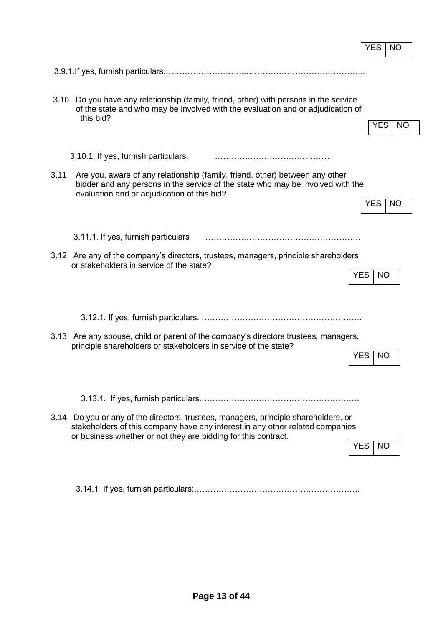|      |                                                                                                                                                                                                                                        | <b>YES</b>              | <b>NO</b> |  |
|------|----------------------------------------------------------------------------------------------------------------------------------------------------------------------------------------------------------------------------------------|-------------------------|-----------|--|
|      |                                                                                                                                                                                                                                        |                         |           |  |
| 3.10 | Do you have any relationship (family, friend, other) with persons in the service                                                                                                                                                       |                         |           |  |
|      | of the state and who may be involved with the evaluation and or adjudication of<br>this bid?                                                                                                                                           |                         |           |  |
|      |                                                                                                                                                                                                                                        | <b>YES</b>              | <b>NO</b> |  |
|      | 3.10.1. If yes, furnish particulars.                                                                                                                                                                                                   |                         |           |  |
| 3.11 | Are you, aware of any relationship (family, friend, other) between any other<br>bidder and any persons in the service of the state who may be involved with the<br>evaluation and or adjudication of this bid?                         |                         |           |  |
|      |                                                                                                                                                                                                                                        | <b>YES</b>              | <b>NO</b> |  |
|      | 3.11.1. If yes, furnish particulars                                                                                                                                                                                                    |                         |           |  |
|      | 3.12 Are any of the company's directors, trustees, managers, principle shareholders<br>or stakeholders in service of the state?                                                                                                        |                         |           |  |
|      |                                                                                                                                                                                                                                        | <b>YES</b><br><b>NO</b> |           |  |
|      |                                                                                                                                                                                                                                        |                         |           |  |
|      |                                                                                                                                                                                                                                        |                         |           |  |
|      | 3.13 Are any spouse, child or parent of the company's directors trustees, managers,<br>principle shareholders or stakeholders in service of the state?                                                                                 |                         |           |  |
|      |                                                                                                                                                                                                                                        | <b>YES</b><br><b>NO</b> |           |  |
|      |                                                                                                                                                                                                                                        |                         |           |  |
|      |                                                                                                                                                                                                                                        |                         |           |  |
|      | 3.14 Do you or any of the directors, trustees, managers, principle shareholders, or<br>stakeholders of this company have any interest in any other related companies<br>or business whether or not they are bidding for this contract. |                         |           |  |
|      |                                                                                                                                                                                                                                        | YES.<br>NO.             |           |  |
|      |                                                                                                                                                                                                                                        |                         |           |  |

3.14.1 If yes, furnish particulars:…………………………………………………….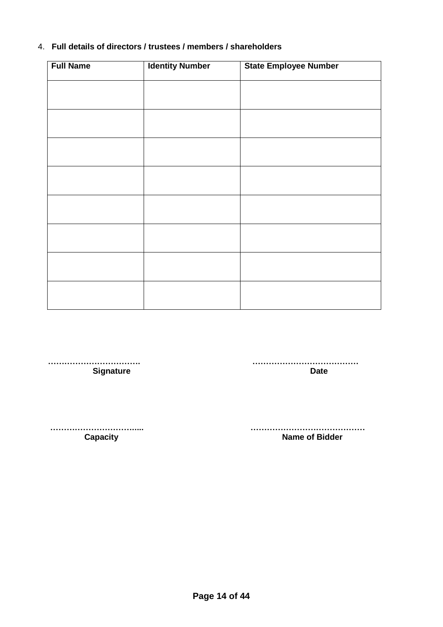## 4. **Full details of directors / trustees / members / shareholders**

| <b>Full Name</b> | <b>Identity Number</b> | <b>State Employee Number</b> |
|------------------|------------------------|------------------------------|
|                  |                        |                              |
|                  |                        |                              |
|                  |                        |                              |
|                  |                        |                              |
|                  |                        |                              |
|                  |                        |                              |
|                  |                        |                              |
|                  |                        |                              |
|                  |                        |                              |
|                  |                        |                              |
|                  |                        |                              |
|                  |                        |                              |
|                  |                        |                              |
|                  |                        |                              |

**Signature** 

 **……………………………. …………………………………**

 **…………………………..... …………………………………… Capacity Capacity Capacity Capacity Name of Bidder**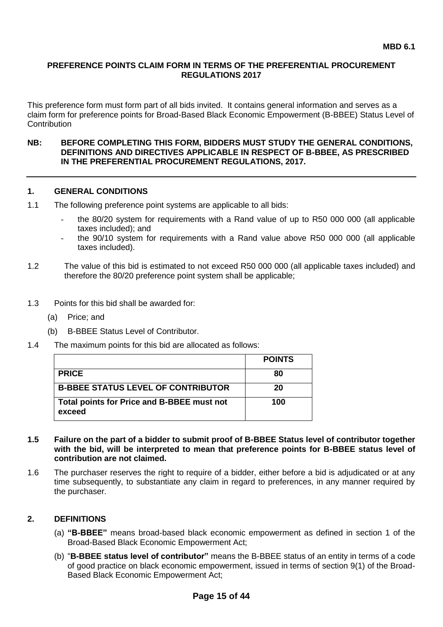#### **PREFERENCE POINTS CLAIM FORM IN TERMS OF THE PREFERENTIAL PROCUREMENT REGULATIONS 2017**

This preference form must form part of all bids invited. It contains general information and serves as a claim form for preference points for Broad-Based Black Economic Empowerment (B-BBEE) Status Level of **Contribution** 

#### **NB: BEFORE COMPLETING THIS FORM, BIDDERS MUST STUDY THE GENERAL CONDITIONS, DEFINITIONS AND DIRECTIVES APPLICABLE IN RESPECT OF B-BBEE, AS PRESCRIBED IN THE PREFERENTIAL PROCUREMENT REGULATIONS, 2017.**

#### **1. GENERAL CONDITIONS**

- 1.1 The following preference point systems are applicable to all bids:
	- the 80/20 system for requirements with a Rand value of up to R50 000 000 (all applicable taxes included); and
	- the 90/10 system for requirements with a Rand value above R50 000 000 (all applicable taxes included).
- 1.2 The value of this bid is estimated to not exceed R50 000 000 (all applicable taxes included) and therefore the 80/20 preference point system shall be applicable;
- 1.3 Points for this bid shall be awarded for:
	- (a) Price; and
	- (b) B-BBEE Status Level of Contributor.
- 1.4 The maximum points for this bid are allocated as follows:

|                                                      | <b>POINTS</b> |
|------------------------------------------------------|---------------|
| <b>PRICE</b>                                         | 80            |
| <b>B-BBEE STATUS LEVEL OF CONTRIBUTOR</b>            | 20            |
| Total points for Price and B-BBEE must not<br>exceed | 100           |

- **1.5 Failure on the part of a bidder to submit proof of B-BBEE Status level of contributor together with the bid, will be interpreted to mean that preference points for B-BBEE status level of contribution are not claimed.**
- 1.6 The purchaser reserves the right to require of a bidder, either before a bid is adjudicated or at any time subsequently, to substantiate any claim in regard to preferences, in any manner required by the purchaser.

#### **2. DEFINITIONS**

- (a) **"B-BBEE"** means broad-based black economic empowerment as defined in section 1 of the Broad-Based Black Economic Empowerment Act;
- (b) "**B-BBEE status level of contributor"** means the B-BBEE status of an entity in terms of a code of good practice on black economic empowerment, issued in terms of section 9(1) of the Broad-Based Black Economic Empowerment Act;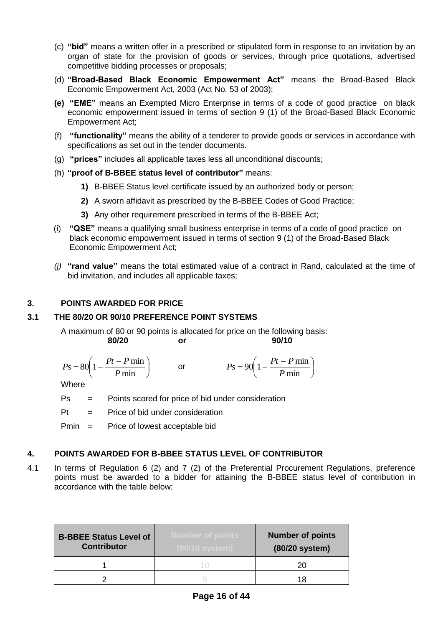- (c) **"bid"** means a written offer in a prescribed or stipulated form in response to an invitation by an organ of state for the provision of goods or services, through price quotations, advertised competitive bidding processes or proposals;
- (d) **"Broad-Based Black Economic Empowerment Act"** means the Broad-Based Black Economic Empowerment Act, 2003 (Act No. 53 of 2003);
- **(e) "EME"** means an Exempted Micro Enterprise in terms of a code of good practice on black economic empowerment issued in terms of section 9 (1) of the Broad-Based Black Economic Empowerment Act;
- (f) **"functionality"** means the ability of a tenderer to provide goods or services in accordance with specifications as set out in the tender documents.
- (g) **"prices"** includes all applicable taxes less all unconditional discounts;
- (h) **"proof of B-BBEE status level of contributor"** means:
	- **1)** B-BBEE Status level certificate issued by an authorized body or person;
	- **2)** A sworn affidavit as prescribed by the B-BBEE Codes of Good Practice;
	- **3)** Any other requirement prescribed in terms of the B-BBEE Act;
- (i) **"QSE"** means a qualifying small business enterprise in terms of a code of good practice on black economic empowerment issued in terms of section 9 (1) of the Broad-Based Black Economic Empowerment Act;
- *(j)* **"rand value"** means the total estimated value of a contract in Rand, calculated at the time of bid invitation, and includes all applicable taxes;

## **3. POINTS AWARDED FOR PRICE**

## **3.1 THE 80/20 OR 90/10 PREFERENCE POINT SYSTEMS**

A maximum of 80 or 90 points is allocated for price on the following basis: **80/20 or 90/10**

$$
Ps = 80 \left( 1 - \frac{Pt - P \min}{P \min} \right) \qquad \text{or} \qquad \qquad Ps = 90 \left( 1 - \frac{Pt - P \min}{P \min} \right)
$$

**Where** 

Ps = Points scored for price of bid under consideration

 $Pt =$  Price of bid under consideration

Pmin = Price of lowest acceptable bid

#### **4. POINTS AWARDED FOR B-BBEE STATUS LEVEL OF CONTRIBUTOR**

4.1 In terms of Regulation 6 (2) and 7 (2) of the Preferential Procurement Regulations, preference points must be awarded to a bidder for attaining the B-BBEE status level of contribution in accordance with the table below:

| <b>B-BBEE Status Level of</b><br><b>Contributor</b> | Number of points<br>(90/10 system) | <b>Number of points</b><br>(80/20 system) |
|-----------------------------------------------------|------------------------------------|-------------------------------------------|
|                                                     |                                    | 20                                        |
|                                                     |                                    | 18                                        |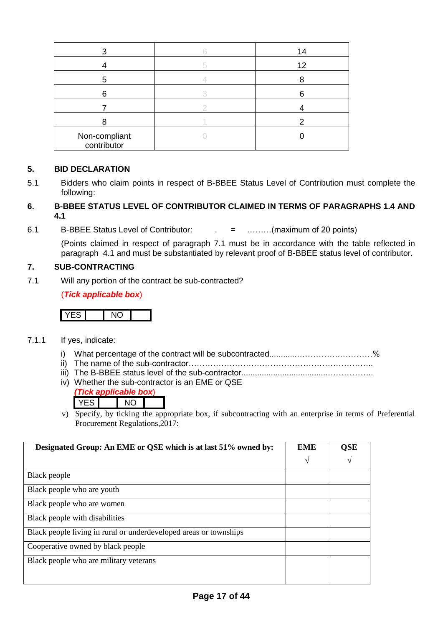|                              | 14 |
|------------------------------|----|
|                              |    |
|                              | 12 |
| h                            |    |
|                              |    |
|                              |    |
|                              |    |
| Non-compliant<br>contributor |    |

## **5. BID DECLARATION**

5.1 Bidders who claim points in respect of B-BBEE Status Level of Contribution must complete the following:

#### **6. B-BBEE STATUS LEVEL OF CONTRIBUTOR CLAIMED IN TERMS OF PARAGRAPHS 1.4 AND 4.1**

6.1 B-BBEE Status Level of Contributor: . = ………(maximum of 20 points)

(Points claimed in respect of paragraph 7.1 must be in accordance with the table reflected in paragraph 4.1 and must be substantiated by relevant proof of B-BBEE status level of contributor.

#### **7. SUB-CONTRACTING**

7.1 Will any portion of the contract be sub-contracted?

#### (*Tick applicable box*)

|--|--|--|

- 7.1.1 If yes, indicate:
	- i) What percentage of the contract will be subcontracted............…………….…………%
	- ii) The name of the sub-contractor…………………………………………………………..
	- iii) The B-BBEE status level of the sub-contractor......................................……………..
	- iv) Whether the sub-contractor is an EME or QSE
		- *(Tick applicable box*)

YES NO

v) Specify, by ticking the appropriate box, if subcontracting with an enterprise in terms of Preferential Procurement Regulations,2017:

| Designated Group: An EME or QSE which is at last 51% owned by:    | <b>EME</b> | QSE |
|-------------------------------------------------------------------|------------|-----|
|                                                                   |            |     |
| Black people                                                      |            |     |
| Black people who are youth                                        |            |     |
| Black people who are women                                        |            |     |
| Black people with disabilities                                    |            |     |
| Black people living in rural or underdeveloped areas or townships |            |     |
| Cooperative owned by black people                                 |            |     |
| Black people who are military veterans                            |            |     |
|                                                                   |            |     |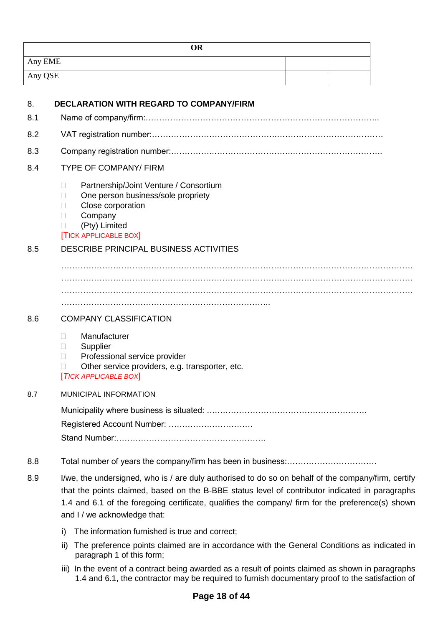| <b>OR</b> |  |
|-----------|--|
| Any EME   |  |
| Any QSE   |  |

| 8.  | <b>DECLARATION WITH REGARD TO COMPANY/FIRM</b>                                                                                                                                                                                                                                                                                              |
|-----|---------------------------------------------------------------------------------------------------------------------------------------------------------------------------------------------------------------------------------------------------------------------------------------------------------------------------------------------|
| 8.1 |                                                                                                                                                                                                                                                                                                                                             |
| 8.2 |                                                                                                                                                                                                                                                                                                                                             |
| 8.3 |                                                                                                                                                                                                                                                                                                                                             |
| 8.4 | <b>TYPE OF COMPANY/ FIRM</b>                                                                                                                                                                                                                                                                                                                |
|     | Partnership/Joint Venture / Consortium<br>П<br>One person business/sole propriety<br>П<br>Close corporation<br>П<br>Company<br>П<br>(Pty) Limited<br>П<br><b>TICK APPLICABLE BOX</b>                                                                                                                                                        |
| 8.5 | DESCRIBE PRINCIPAL BUSINESS ACTIVITIES                                                                                                                                                                                                                                                                                                      |
|     |                                                                                                                                                                                                                                                                                                                                             |
|     |                                                                                                                                                                                                                                                                                                                                             |
| 8.6 | <b>COMPANY CLASSIFICATION</b>                                                                                                                                                                                                                                                                                                               |
|     | Manufacturer<br>П<br>Supplier<br>$\Box$<br>Professional service provider<br>П<br>Other service providers, e.g. transporter, etc.<br>П<br>[TICK APPLICABLE BOX]                                                                                                                                                                              |
| 8.7 | <b>MUNICIPAL INFORMATION</b>                                                                                                                                                                                                                                                                                                                |
|     | Registered Account Number:                                                                                                                                                                                                                                                                                                                  |
| 8.8 |                                                                                                                                                                                                                                                                                                                                             |
| 8.9 | I/we, the undersigned, who is / are duly authorised to do so on behalf of the company/firm, certify<br>that the points claimed, based on the B-BBE status level of contributor indicated in paragraphs<br>1.4 and 6.1 of the foregoing certificate, qualifies the company/ firm for the preference(s) shown<br>and I / we acknowledge that: |
|     | The information furnished is true and correct;<br>i)                                                                                                                                                                                                                                                                                        |
|     | The preference points claimed are in accordance with the General Conditions as indicated in<br>ii)<br>paragraph 1 of this form;                                                                                                                                                                                                             |
|     | iii) In the event of a contract being awarded as a result of points claimed as shown in paragraphs                                                                                                                                                                                                                                          |

1.4 and 6.1, the contractor may be required to furnish documentary proof to the satisfaction of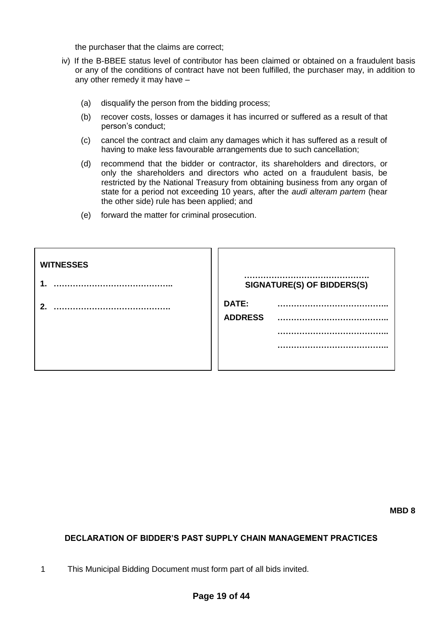the purchaser that the claims are correct;

- iv) If the B-BBEE status level of contributor has been claimed or obtained on a fraudulent basis or any of the conditions of contract have not been fulfilled, the purchaser may, in addition to any other remedy it may have –
	- (a) disqualify the person from the bidding process;
	- (b) recover costs, losses or damages it has incurred or suffered as a result of that person's conduct;
	- (c) cancel the contract and claim any damages which it has suffered as a result of having to make less favourable arrangements due to such cancellation;
	- (d) recommend that the bidder or contractor, its shareholders and directors, or only the shareholders and directors who acted on a fraudulent basis, be restricted by the National Treasury from obtaining business from any organ of state for a period not exceeding 10 years, after the *audi alteram partem* (hear the other side) rule has been applied; and
	- (e) forward the matter for criminal prosecution.

| <b>WITNESSES</b> | SIGNATURE(S) OF BIDDERS(S) |
|------------------|----------------------------|
| າ                | DATE:<br><b>ADDRESS</b>    |

**MBD 8**

#### **DECLARATION OF BIDDER'S PAST SUPPLY CHAIN MANAGEMENT PRACTICES**

1 This Municipal Bidding Document must form part of all bids invited.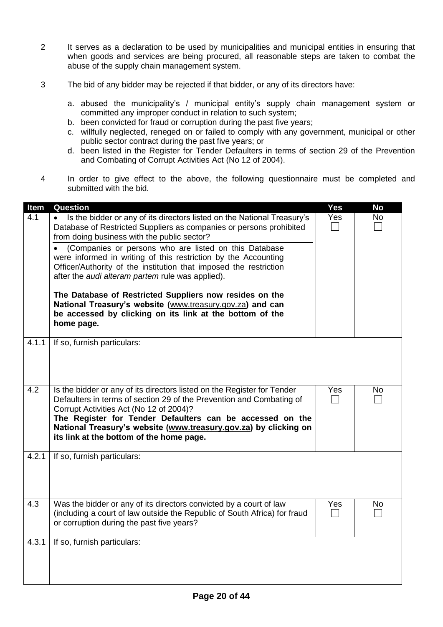- 2 It serves as a declaration to be used by municipalities and municipal entities in ensuring that when goods and services are being procured, all reasonable steps are taken to combat the abuse of the supply chain management system.
- 3 The bid of any bidder may be rejected if that bidder, or any of its directors have:
	- a. abused the municipality's / municipal entity's supply chain management system or committed any improper conduct in relation to such system;
	- b. been convicted for fraud or corruption during the past five years;
	- c. willfully neglected, reneged on or failed to comply with any government, municipal or other public sector contract during the past five years; or
	- d. been listed in the Register for Tender Defaulters in terms of section 29 of the Prevention and Combating of Corrupt Activities Act (No 12 of 2004).
- 4 In order to give effect to the above, the following questionnaire must be completed and submitted with the bid.

| Item  | Question                                                                                                                                                                                                                                                                                                                                                                                                                                                                                                                                                                                                                                     | <b>Yes</b> | <b>No</b> |
|-------|----------------------------------------------------------------------------------------------------------------------------------------------------------------------------------------------------------------------------------------------------------------------------------------------------------------------------------------------------------------------------------------------------------------------------------------------------------------------------------------------------------------------------------------------------------------------------------------------------------------------------------------------|------------|-----------|
| 4.1   | Is the bidder or any of its directors listed on the National Treasury's<br>Database of Restricted Suppliers as companies or persons prohibited<br>from doing business with the public sector?<br>(Companies or persons who are listed on this Database<br>were informed in writing of this restriction by the Accounting<br>Officer/Authority of the institution that imposed the restriction<br>after the <i>audi alteram partem</i> rule was applied).<br>The Database of Restricted Suppliers now resides on the<br>National Treasury's website (www.treasury.gov.za) and can<br>be accessed by clicking on its link at the bottom of the | Yes        | No.       |
|       | home page.                                                                                                                                                                                                                                                                                                                                                                                                                                                                                                                                                                                                                                   |            |           |
| 4.1.1 | If so, furnish particulars:                                                                                                                                                                                                                                                                                                                                                                                                                                                                                                                                                                                                                  |            |           |
| 4.2   | Is the bidder or any of its directors listed on the Register for Tender<br>Defaulters in terms of section 29 of the Prevention and Combating of<br>Corrupt Activities Act (No 12 of 2004)?<br>The Register for Tender Defaulters can be accessed on the<br>National Treasury's website (www.treasury.gov.za) by clicking on<br>its link at the bottom of the home page.                                                                                                                                                                                                                                                                      | Yes        | No        |
| 4.2.1 | If so, furnish particulars:                                                                                                                                                                                                                                                                                                                                                                                                                                                                                                                                                                                                                  |            |           |
| 4.3   | Was the bidder or any of its directors convicted by a court of law<br>(including a court of law outside the Republic of South Africa) for fraud<br>or corruption during the past five years?                                                                                                                                                                                                                                                                                                                                                                                                                                                 | Yes        | <b>No</b> |
| 4.3.1 | If so, furnish particulars:                                                                                                                                                                                                                                                                                                                                                                                                                                                                                                                                                                                                                  |            |           |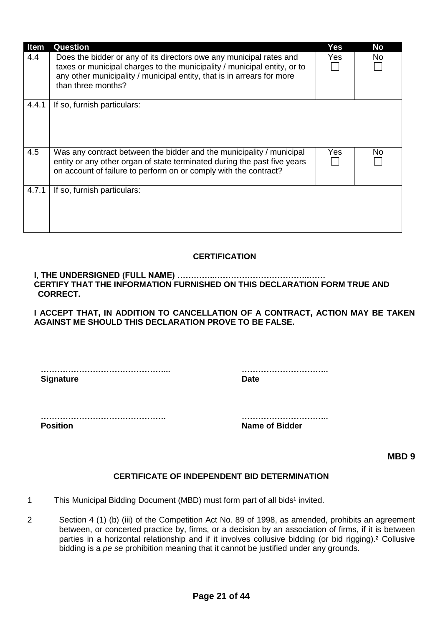| <b>Item</b> | <b>Question</b>                                                                                                                                                                                                                                 | Yes  | <b>No</b> |
|-------------|-------------------------------------------------------------------------------------------------------------------------------------------------------------------------------------------------------------------------------------------------|------|-----------|
| 4.4         | Does the bidder or any of its directors owe any municipal rates and<br>taxes or municipal charges to the municipality / municipal entity, or to<br>any other municipality / municipal entity, that is in arrears for more<br>than three months? | Yes  | No        |
| 4.4.1       | If so, furnish particulars:                                                                                                                                                                                                                     |      |           |
| 4.5         | Was any contract between the bidder and the municipality / municipal<br>entity or any other organ of state terminated during the past five years<br>on account of failure to perform on or comply with the contract?                            | Yes. | No        |
| 4.7.1       | If so, furnish particulars:                                                                                                                                                                                                                     |      |           |

## **CERTIFICATION**

**I, THE UNDERSIGNED (FULL NAME) …………..……………………………..…… CERTIFY THAT THE INFORMATION FURNISHED ON THIS DECLARATION FORM TRUE AND CORRECT.**

**I ACCEPT THAT, IN ADDITION TO CANCELLATION OF A CONTRACT, ACTION MAY BE TAKEN AGAINST ME SHOULD THIS DECLARATION PROVE TO BE FALSE.**

**………………………………………... ………………………….. Signature Date** 

**………………………………………. ………………………….. Position Name of Bidder**

**MBD 9**

#### **CERTIFICATE OF INDEPENDENT BID DETERMINATION**

- 1 This Municipal Bidding Document (MBD) must form part of all bids<sup>1</sup> invited.
- 2 Section 4 (1) (b) (iii) of the Competition Act No. 89 of 1998, as amended, prohibits an agreement between, or concerted practice by, firms, or a decision by an association of firms, if it is between parties in a horizontal relationship and if it involves collusive bidding (or bid rigging).² Collusive bidding is a *pe se* prohibition meaning that it cannot be justified under any grounds.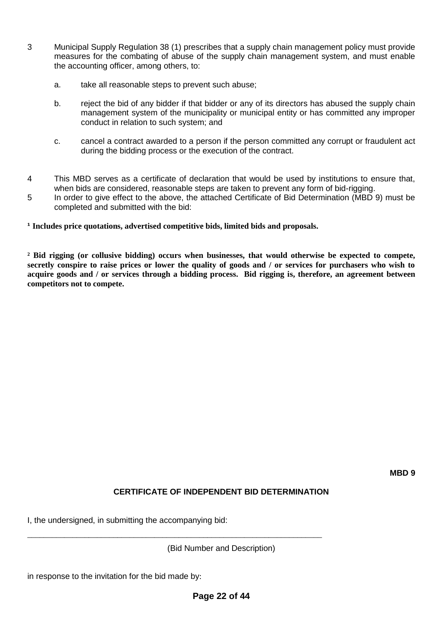- 3 Municipal Supply Regulation 38 (1) prescribes that a supply chain management policy must provide measures for the combating of abuse of the supply chain management system, and must enable the accounting officer, among others, to:
	- a. take all reasonable steps to prevent such abuse;
	- b. reject the bid of any bidder if that bidder or any of its directors has abused the supply chain management system of the municipality or municipal entity or has committed any improper conduct in relation to such system; and
	- c. cancel a contract awarded to a person if the person committed any corrupt or fraudulent act during the bidding process or the execution of the contract.
- 4 This MBD serves as a certificate of declaration that would be used by institutions to ensure that, when bids are considered, reasonable steps are taken to prevent any form of bid-rigging.
- 5 In order to give effect to the above, the attached Certificate of Bid Determination (MBD 9) must be completed and submitted with the bid:

**¹ Includes price quotations, advertised competitive bids, limited bids and proposals.**

**² Bid rigging (or collusive bidding) occurs when businesses, that would otherwise be expected to compete, secretly conspire to raise prices or lower the quality of goods and / or services for purchasers who wish to acquire goods and / or services through a bidding process. Bid rigging is, therefore, an agreement between competitors not to compete.**

## **CERTIFICATE OF INDEPENDENT BID DETERMINATION**

I, the undersigned, in submitting the accompanying bid:

\_\_\_\_\_\_\_\_\_\_\_\_\_\_\_\_\_\_\_\_\_\_\_\_\_\_\_\_\_\_\_\_\_\_\_\_\_\_\_\_\_\_\_\_\_\_\_\_\_\_\_\_\_\_\_\_\_\_\_\_\_\_\_\_\_\_\_\_\_\_\_\_

(Bid Number and Description)

in response to the invitation for the bid made by: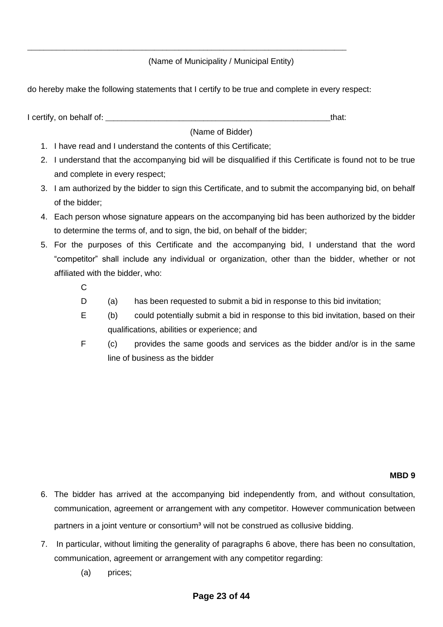## (Name of Municipality / Municipal Entity)

do hereby make the following statements that I certify to be true and complete in every respect:

I certify, on behalf of: that:  $\blacksquare$ 

\_\_\_\_\_\_\_\_\_\_\_\_\_\_\_\_\_\_\_\_\_\_\_\_\_\_\_\_\_\_\_\_\_\_\_\_\_\_\_\_\_\_\_\_\_\_\_\_\_\_\_\_\_\_\_\_\_\_\_\_\_\_\_\_\_\_\_\_\_\_\_\_\_\_\_\_\_\_

(Name of Bidder)

- 1. I have read and I understand the contents of this Certificate;
- 2. I understand that the accompanying bid will be disqualified if this Certificate is found not to be true and complete in every respect;
- 3. I am authorized by the bidder to sign this Certificate, and to submit the accompanying bid, on behalf of the bidder;
- 4. Each person whose signature appears on the accompanying bid has been authorized by the bidder to determine the terms of, and to sign, the bid, on behalf of the bidder;
- 5. For the purposes of this Certificate and the accompanying bid, I understand that the word "competitor" shall include any individual or organization, other than the bidder, whether or not affiliated with the bidder, who:
	- $\mathcal{C}$
	- D (a) has been requested to submit a bid in response to this bid invitation;
	- E (b) could potentially submit a bid in response to this bid invitation, based on their qualifications, abilities or experience; and
	- F (c) provides the same goods and services as the bidder and/or is in the same line of business as the bidder

#### **MBD 9**

- 6. The bidder has arrived at the accompanying bid independently from, and without consultation, communication, agreement or arrangement with any competitor. However communication between partners in a joint venture or consortium<sup>3</sup> will not be construed as collusive bidding.
- 7. In particular, without limiting the generality of paragraphs 6 above, there has been no consultation, communication, agreement or arrangement with any competitor regarding:
	- (a) prices;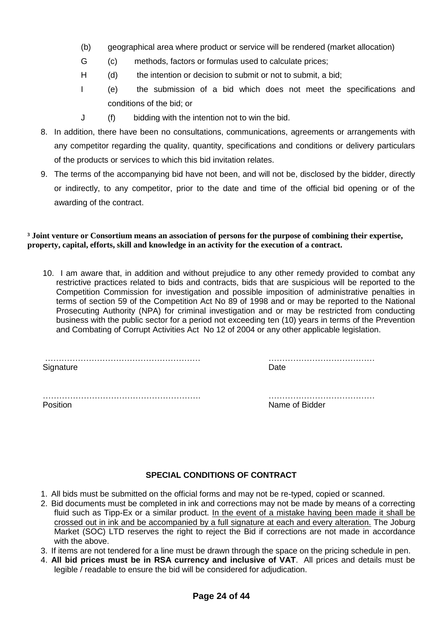- (b) geographical area where product or service will be rendered (market allocation)
- G (c) methods, factors or formulas used to calculate prices;
- H (d) the intention or decision to submit or not to submit, a bid;
- I (e) the submission of a bid which does not meet the specifications and conditions of the bid; or
- J (f) bidding with the intention not to win the bid.
- 8. In addition, there have been no consultations, communications, agreements or arrangements with any competitor regarding the quality, quantity, specifications and conditions or delivery particulars of the products or services to which this bid invitation relates.
- 9. The terms of the accompanying bid have not been, and will not be, disclosed by the bidder, directly or indirectly, to any competitor, prior to the date and time of the official bid opening or of the awarding of the contract.

#### **³ Joint venture or Consortium means an association of persons for the purpose of combining their expertise, property, capital, efforts, skill and knowledge in an activity for the execution of a contract.**

10. I am aware that, in addition and without prejudice to any other remedy provided to combat any restrictive practices related to bids and contracts, bids that are suspicious will be reported to the Competition Commission for investigation and possible imposition of administrative penalties in terms of section 59 of the Competition Act No 89 of 1998 and or may be reported to the National Prosecuting Authority (NPA) for criminal investigation and or may be restricted from conducting business with the public sector for a period not exceeding ten (10) years in terms of the Prevention and Combating of Corrupt Activities Act No 12 of 2004 or any other applicable legislation.

………………………………………………… ………………………………… Signature **Date Date Date Date Date Date Date Date** 

…………………………………………………. ………………………………… Position Name of Bidder

## **SPECIAL CONDITIONS OF CONTRACT**

- 1. All bids must be submitted on the official forms and may not be re-typed, copied or scanned.
- 2. Bid documents must be completed in ink and corrections may not be made by means of a correcting fluid such as Tipp-Ex or a similar product. In the event of a mistake having been made it shall be crossed out in ink and be accompanied by a full signature at each and every alteration. The Joburg Market (SOC) LTD reserves the right to reject the Bid if corrections are not made in accordance with the above.
- 3. If items are not tendered for a line must be drawn through the space on the pricing schedule in pen.
- 4. **All bid prices must be in RSA currency and inclusive of VAT**. All prices and details must be legible / readable to ensure the bid will be considered for adjudication.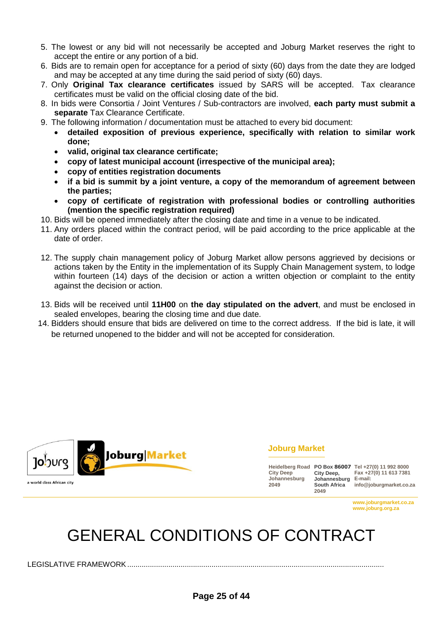- 5. The lowest or any bid will not necessarily be accepted and Joburg Market reserves the right to accept the entire or any portion of a bid.
- 6. Bids are to remain open for acceptance for a period of sixty (60) days from the date they are lodged and may be accepted at any time during the said period of sixty (60) days.
- 7. Only **Original Tax clearance certificates** issued by SARS will be accepted. Tax clearance certificates must be valid on the official closing date of the bid.
- 8. In bids were Consortia / Joint Ventures / Sub-contractors are involved, **each party must submit a separate** Tax Clearance Certificate.
- 9. The following information / documentation must be attached to every bid document:
	- **detailed exposition of previous experience, specifically with relation to similar work done;**
	- **valid, original tax clearance certificate;**
	- **copy of latest municipal account (irrespective of the municipal area);**
	- **copy of entities registration documents**
	- **if a bid is summit by a joint venture, a copy of the memorandum of agreement between the parties;**
	- **copy of certificate of registration with professional bodies or controlling authorities (mention the specific registration required)**
- 10. Bids will be opened immediately after the closing date and time in a venue to be indicated.
- 11. Any orders placed within the contract period, will be paid according to the price applicable at the date of order.
- 12. The supply chain management policy of Joburg Market allow persons aggrieved by decisions or actions taken by the Entity in the implementation of its Supply Chain Management system, to lodge within fourteen (14) days of the decision or action a written objection or complaint to the entity against the decision or action.
- 13. Bids will be received until **11H00** on **the day stipulated on the advert**, and must be enclosed in sealed envelopes, bearing the closing time and due date.
- 14. Bidders should ensure that bids are delivered on time to the correct address. If the bid is late, it will be returned unopened to the bidder and will not be accepted for consideration.



#### **Joburg Market**

**City Deep Johannesburg 2049**

**Heidelberg Road PO Box 86007 Tel +27(0) 11 992 8000 City Deep, Johannesburg E-mail: South Africa 2049 Fax +27(0) 11 613 7381 info@joburgmarket.co.za**

> **www.joburgmarket.co.za www.joburg.org.za**

# GENERAL CONDITIONS OF CONTRACT

LEGISLATIVE FRAMEWORK.............................................................................................................................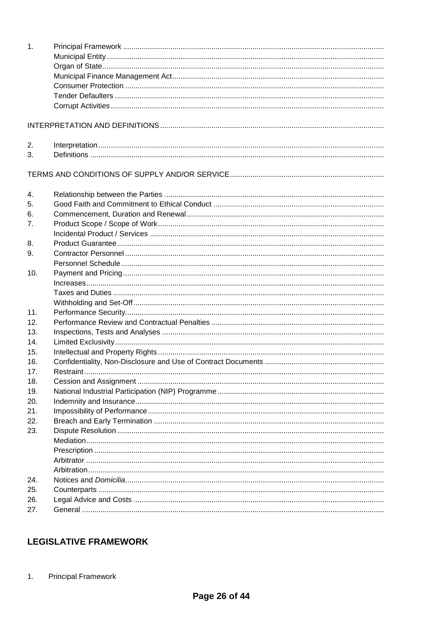| 1.  |  |
|-----|--|
|     |  |
|     |  |
|     |  |
|     |  |
|     |  |
|     |  |
|     |  |
|     |  |
| 2.  |  |
| 3.  |  |
|     |  |
|     |  |
| 4.  |  |
| 5.  |  |
| 6.  |  |
| 7.  |  |
|     |  |
| 8.  |  |
| 9.  |  |
|     |  |
| 10. |  |
|     |  |
|     |  |
|     |  |
| 11. |  |
| 12. |  |
| 13. |  |
| 14. |  |
| 15. |  |
| 16. |  |
| 17. |  |
| 18. |  |
| 19. |  |
| 20. |  |
| 21. |  |
| 22. |  |
| 23. |  |
|     |  |
|     |  |
|     |  |
|     |  |
| 24. |  |
| 25. |  |
| 26. |  |
| 27. |  |
|     |  |

## **LEGISLATIVE FRAMEWORK**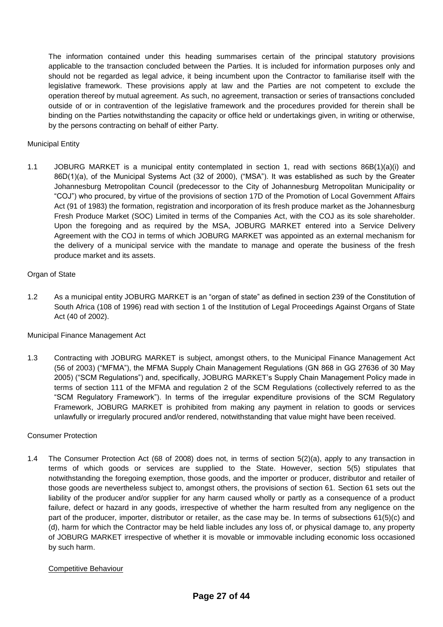The information contained under this heading summarises certain of the principal statutory provisions applicable to the transaction concluded between the Parties. It is included for information purposes only and should not be regarded as legal advice, it being incumbent upon the Contractor to familiarise itself with the legislative framework. These provisions apply at law and the Parties are not competent to exclude the operation thereof by mutual agreement. As such, no agreement, transaction or series of transactions concluded outside of or in contravention of the legislative framework and the procedures provided for therein shall be binding on the Parties notwithstanding the capacity or office held or undertakings given, in writing or otherwise, by the persons contracting on behalf of either Party.

#### Municipal Entity

1.1 JOBURG MARKET is a municipal entity contemplated in section 1, read with sections 86B(1)(a)(i) and 86D(1)(a), of the Municipal Systems Act (32 of 2000), ("MSA"). It was established as such by the Greater Johannesburg Metropolitan Council (predecessor to the City of Johannesburg Metropolitan Municipality or "COJ") who procured, by virtue of the provisions of section 17D of the Promotion of Local Government Affairs Act (91 of 1983) the formation, registration and incorporation of its fresh produce market as the Johannesburg Fresh Produce Market (SOC) Limited in terms of the Companies Act, with the COJ as its sole shareholder. Upon the foregoing and as required by the MSA, JOBURG MARKET entered into a Service Delivery Agreement with the COJ in terms of which JOBURG MARKET was appointed as an external mechanism for the delivery of a municipal service with the mandate to manage and operate the business of the fresh produce market and its assets.

#### Organ of State

1.2 As a municipal entity JOBURG MARKET is an "organ of state" as defined in section 239 of the Constitution of South Africa (108 of 1996) read with section 1 of the Institution of Legal Proceedings Against Organs of State Act (40 of 2002).

#### Municipal Finance Management Act

1.3 Contracting with JOBURG MARKET is subject, amongst others, to the Municipal Finance Management Act (56 of 2003) ("MFMA"), the MFMA Supply Chain Management Regulations (GN 868 in GG 27636 of 30 May 2005) ("SCM Regulations") and, specifically, JOBURG MARKET's Supply Chain Management Policy made in terms of section 111 of the MFMA and regulation 2 of the SCM Regulations (collectively referred to as the "SCM Regulatory Framework"). In terms of the irregular expenditure provisions of the SCM Regulatory Framework, JOBURG MARKET is prohibited from making any payment in relation to goods or services unlawfully or irregularly procured and/or rendered, notwithstanding that value might have been received.

#### Consumer Protection

1.4 The Consumer Protection Act (68 of 2008) does not, in terms of section 5(2)(a), apply to any transaction in terms of which goods or services are supplied to the State. However, section 5(5) stipulates that notwithstanding the foregoing exemption, those goods, and the importer or producer, distributor and retailer of those goods are nevertheless subject to, amongst others, the provisions of section 61. Section 61 sets out the liability of the producer and/or supplier for any harm caused wholly or partly as a consequence of a product failure, defect or hazard in any goods, irrespective of whether the harm resulted from any negligence on the part of the producer, importer, distributor or retailer, as the case may be. In terms of subsections 61(5)(c) and (d), harm for which the Contractor may be held liable includes any loss of, or physical damage to, any property of JOBURG MARKET irrespective of whether it is movable or immovable including economic loss occasioned by such harm.

#### Competitive Behaviour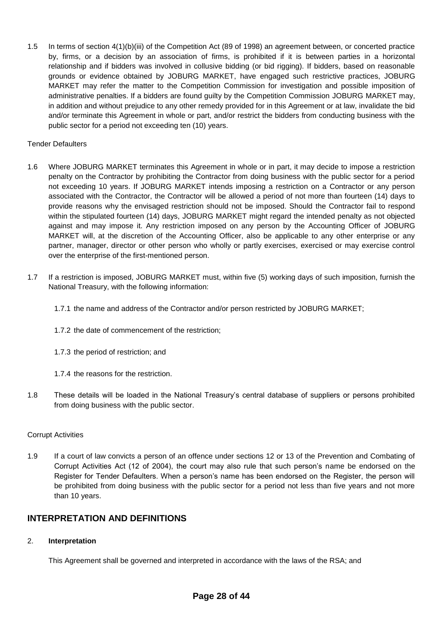1.5 In terms of section 4(1)(b)(iii) of the Competition Act (89 of 1998) an agreement between, or concerted practice by, firms, or a decision by an association of firms, is prohibited if it is between parties in a horizontal relationship and if bidders was involved in collusive bidding (or bid rigging). If bidders, based on reasonable grounds or evidence obtained by JOBURG MARKET, have engaged such restrictive practices, JOBURG MARKET may refer the matter to the Competition Commission for investigation and possible imposition of administrative penalties. If a bidders are found guilty by the Competition Commission JOBURG MARKET may, in addition and without prejudice to any other remedy provided for in this Agreement or at law, invalidate the bid and/or terminate this Agreement in whole or part, and/or restrict the bidders from conducting business with the public sector for a period not exceeding ten (10) years.

#### Tender Defaulters

- 1.6 Where JOBURG MARKET terminates this Agreement in whole or in part, it may decide to impose a restriction penalty on the Contractor by prohibiting the Contractor from doing business with the public sector for a period not exceeding 10 years. If JOBURG MARKET intends imposing a restriction on a Contractor or any person associated with the Contractor, the Contractor will be allowed a period of not more than fourteen (14) days to provide reasons why the envisaged restriction should not be imposed. Should the Contractor fail to respond within the stipulated fourteen (14) days, JOBURG MARKET might regard the intended penalty as not objected against and may impose it. Any restriction imposed on any person by the Accounting Officer of JOBURG MARKET will, at the discretion of the Accounting Officer, also be applicable to any other enterprise or any partner, manager, director or other person who wholly or partly exercises, exercised or may exercise control over the enterprise of the first-mentioned person.
- 1.7 If a restriction is imposed, JOBURG MARKET must, within five (5) working days of such imposition, furnish the National Treasury, with the following information:
	- 1.7.1 the name and address of the Contractor and/or person restricted by JOBURG MARKET;
	- 1.7.2 the date of commencement of the restriction;
	- 1.7.3 the period of restriction; and
	- 1.7.4 the reasons for the restriction.
- 1.8 These details will be loaded in the National Treasury's central database of suppliers or persons prohibited from doing business with the public sector.

#### Corrupt Activities

1.9 If a court of law convicts a person of an offence under sections 12 or 13 of the Prevention and Combating of Corrupt Activities Act (12 of 2004), the court may also rule that such person's name be endorsed on the Register for Tender Defaulters. When a person's name has been endorsed on the Register, the person will be prohibited from doing business with the public sector for a period not less than five years and not more than 10 years.

## **INTERPRETATION AND DEFINITIONS**

#### 2. **Interpretation**

This Agreement shall be governed and interpreted in accordance with the laws of the RSA; and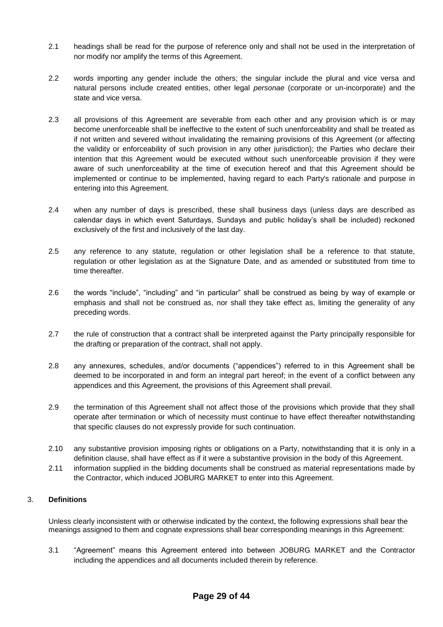- 2.1 headings shall be read for the purpose of reference only and shall not be used in the interpretation of nor modify nor amplify the terms of this Agreement.
- 2.2 words importing any gender include the others; the singular include the plural and vice versa and natural persons include created entities, other legal *personae* (corporate or un-incorporate) and the state and vice versa.
- 2.3 all provisions of this Agreement are severable from each other and any provision which is or may become unenforceable shall be ineffective to the extent of such unenforceability and shall be treated as if not written and severed without invalidating the remaining provisions of this Agreement (or affecting the validity or enforceability of such provision in any other jurisdiction); the Parties who declare their intention that this Agreement would be executed without such unenforceable provision if they were aware of such unenforceability at the time of execution hereof and that this Agreement should be implemented or continue to be implemented, having regard to each Party's rationale and purpose in entering into this Agreement.
- 2.4 when any number of days is prescribed, these shall business days (unless days are described as calendar days in which event Saturdays, Sundays and public holiday's shall be included) reckoned exclusively of the first and inclusively of the last day.
- 2.5 any reference to any statute, regulation or other legislation shall be a reference to that statute, regulation or other legislation as at the Signature Date, and as amended or substituted from time to time thereafter.
- 2.6 the words "include", "including" and "in particular" shall be construed as being by way of example or emphasis and shall not be construed as, nor shall they take effect as, limiting the generality of any preceding words.
- 2.7 the rule of construction that a contract shall be interpreted against the Party principally responsible for the drafting or preparation of the contract, shall not apply.
- 2.8 any annexures, schedules, and/or documents ("appendices") referred to in this Agreement shall be deemed to be incorporated in and form an integral part hereof; in the event of a conflict between any appendices and this Agreement, the provisions of this Agreement shall prevail.
- 2.9 the termination of this Agreement shall not affect those of the provisions which provide that they shall operate after termination or which of necessity must continue to have effect thereafter notwithstanding that specific clauses do not expressly provide for such continuation.
- 2.10 any substantive provision imposing rights or obligations on a Party, notwithstanding that it is only in a definition clause, shall have effect as if it were a substantive provision in the body of this Agreement.
- 2.11 information supplied in the bidding documents shall be construed as material representations made by the Contractor, which induced JOBURG MARKET to enter into this Agreement.

#### 3. **Definitions**

Unless clearly inconsistent with or otherwise indicated by the context, the following expressions shall bear the meanings assigned to them and cognate expressions shall bear corresponding meanings in this Agreement:

3.1 "Agreement" means this Agreement entered into between JOBURG MARKET and the Contractor including the appendices and all documents included therein by reference.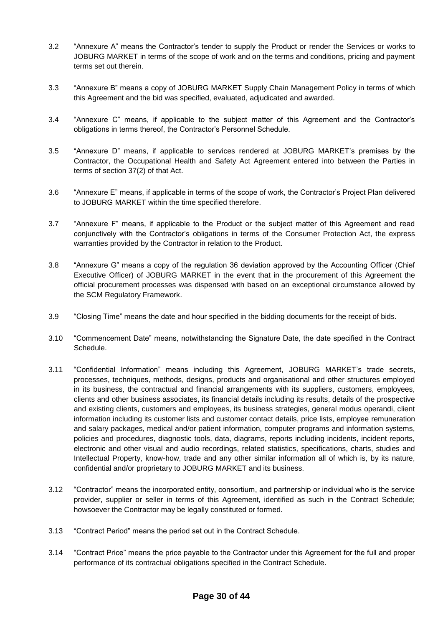- 3.2 "Annexure A" means the Contractor's tender to supply the Product or render the Services or works to JOBURG MARKET in terms of the scope of work and on the terms and conditions, pricing and payment terms set out therein.
- 3.3 "Annexure B" means a copy of JOBURG MARKET Supply Chain Management Policy in terms of which this Agreement and the bid was specified, evaluated, adjudicated and awarded.
- 3.4 "Annexure C" means, if applicable to the subject matter of this Agreement and the Contractor's obligations in terms thereof, the Contractor's Personnel Schedule.
- 3.5 "Annexure D" means, if applicable to services rendered at JOBURG MARKET's premises by the Contractor, the Occupational Health and Safety Act Agreement entered into between the Parties in terms of section 37(2) of that Act.
- 3.6 "Annexure E" means, if applicable in terms of the scope of work, the Contractor's Project Plan delivered to JOBURG MARKET within the time specified therefore.
- 3.7 "Annexure F" means, if applicable to the Product or the subject matter of this Agreement and read conjunctively with the Contractor's obligations in terms of the Consumer Protection Act, the express warranties provided by the Contractor in relation to the Product.
- 3.8 "Annexure G" means a copy of the regulation 36 deviation approved by the Accounting Officer (Chief Executive Officer) of JOBURG MARKET in the event that in the procurement of this Agreement the official procurement processes was dispensed with based on an exceptional circumstance allowed by the SCM Regulatory Framework.
- 3.9 "Closing Time" means the date and hour specified in the bidding documents for the receipt of bids.
- 3.10 "Commencement Date" means, notwithstanding the Signature Date, the date specified in the Contract Schedule.
- 3.11 "Confidential Information" means including this Agreement, JOBURG MARKET's trade secrets, processes, techniques, methods, designs, products and organisational and other structures employed in its business, the contractual and financial arrangements with its suppliers, customers, employees, clients and other business associates, its financial details including its results, details of the prospective and existing clients, customers and employees, its business strategies, general modus operandi, client information including its customer lists and customer contact details, price lists, employee remuneration and salary packages, medical and/or patient information, computer programs and information systems, policies and procedures, diagnostic tools, data, diagrams, reports including incidents, incident reports, electronic and other visual and audio recordings, related statistics, specifications, charts, studies and Intellectual Property, know-how, trade and any other similar information all of which is, by its nature, confidential and/or proprietary to JOBURG MARKET and its business.
- 3.12 "Contractor" means the incorporated entity, consortium, and partnership or individual who is the service provider, supplier or seller in terms of this Agreement, identified as such in the Contract Schedule; howsoever the Contractor may be legally constituted or formed.
- 3.13 "Contract Period" means the period set out in the Contract Schedule.
- 3.14 "Contract Price" means the price payable to the Contractor under this Agreement for the full and proper performance of its contractual obligations specified in the Contract Schedule.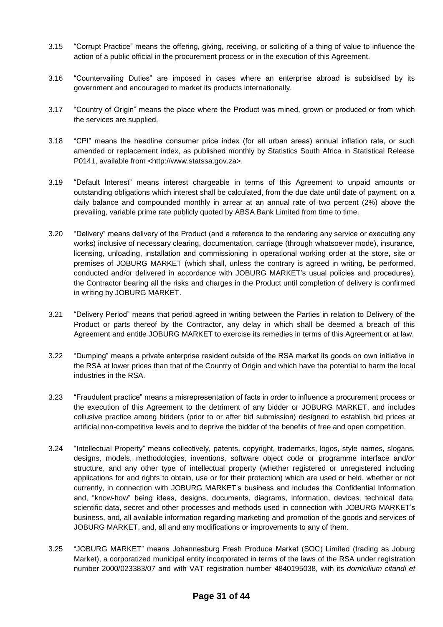- 3.15 "Corrupt Practice" means the offering, giving, receiving, or soliciting of a thing of value to influence the action of a public official in the procurement process or in the execution of this Agreement.
- 3.16 "Countervailing Duties" are imposed in cases where an enterprise abroad is subsidised by its government and encouraged to market its products internationally.
- 3.17 "Country of Origin" means the place where the Product was mined, grown or produced or from which the services are supplied.
- 3.18 "CPI" means the headline consumer price index (for all urban areas) annual inflation rate, or such amended or replacement index, as published monthly by Statistics South Africa in Statistical Release P0141, available from <http://www.statssa.gov.za>.
- 3.19 "Default Interest" means interest chargeable in terms of this Agreement to unpaid amounts or outstanding obligations which interest shall be calculated, from the due date until date of payment, on a daily balance and compounded monthly in arrear at an annual rate of two percent (2%) above the prevailing, variable prime rate publicly quoted by ABSA Bank Limited from time to time.
- 3.20 "Delivery" means delivery of the Product (and a reference to the rendering any service or executing any works) inclusive of necessary clearing, documentation, carriage (through whatsoever mode), insurance, licensing, unloading, installation and commissioning in operational working order at the store, site or premises of JOBURG MARKET (which shall, unless the contrary is agreed in writing, be performed, conducted and/or delivered in accordance with JOBURG MARKET's usual policies and procedures), the Contractor bearing all the risks and charges in the Product until completion of delivery is confirmed in writing by JOBURG MARKET.
- 3.21 "Delivery Period" means that period agreed in writing between the Parties in relation to Delivery of the Product or parts thereof by the Contractor, any delay in which shall be deemed a breach of this Agreement and entitle JOBURG MARKET to exercise its remedies in terms of this Agreement or at law.
- 3.22 "Dumping" means a private enterprise resident outside of the RSA market its goods on own initiative in the RSA at lower prices than that of the Country of Origin and which have the potential to harm the local industries in the RSA.
- 3.23 "Fraudulent practice" means a misrepresentation of facts in order to influence a procurement process or the execution of this Agreement to the detriment of any bidder or JOBURG MARKET, and includes collusive practice among bidders (prior to or after bid submission) designed to establish bid prices at artificial non-competitive levels and to deprive the bidder of the benefits of free and open competition.
- 3.24 "Intellectual Property" means collectively, patents, copyright, trademarks, logos, style names, slogans, designs, models, methodologies, inventions, software object code or programme interface and/or structure, and any other type of intellectual property (whether registered or unregistered including applications for and rights to obtain, use or for their protection) which are used or held, whether or not currently, in connection with JOBURG MARKET's business and includes the Confidential Information and, "know-how" being ideas, designs, documents, diagrams, information, devices, technical data, scientific data, secret and other processes and methods used in connection with JOBURG MARKET's business, and, all available information regarding marketing and promotion of the goods and services of JOBURG MARKET, and, all and any modifications or improvements to any of them.
- 3.25 "JOBURG MARKET" means Johannesburg Fresh Produce Market (SOC) Limited (trading as Joburg Market), a corporatized municipal entity incorporated in terms of the laws of the RSA under registration number 2000/023383/07 and with VAT registration number 4840195038, with its *domicilium citandi et*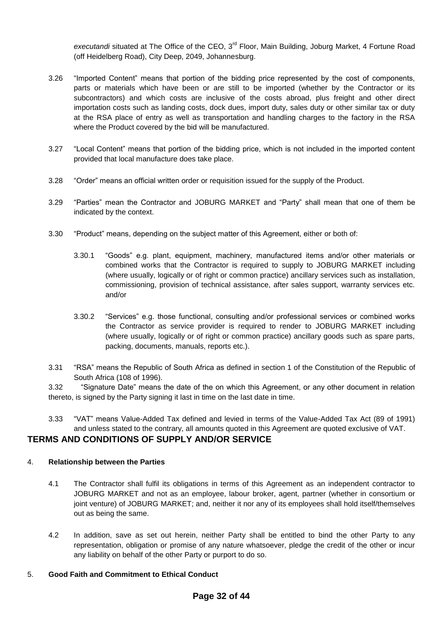executandi situated at The Office of the CEO, 3<sup>rd</sup> Floor, Main Building, Joburg Market, 4 Fortune Road (off Heidelberg Road), City Deep, 2049, Johannesburg.

- 3.26 "Imported Content" means that portion of the bidding price represented by the cost of components, parts or materials which have been or are still to be imported (whether by the Contractor or its subcontractors) and which costs are inclusive of the costs abroad, plus freight and other direct importation costs such as landing costs, dock dues, import duty, sales duty or other similar tax or duty at the RSA place of entry as well as transportation and handling charges to the factory in the RSA where the Product covered by the bid will be manufactured.
- 3.27 "Local Content" means that portion of the bidding price, which is not included in the imported content provided that local manufacture does take place.
- 3.28 "Order" means an official written order or requisition issued for the supply of the Product.
- 3.29 "Parties" mean the Contractor and JOBURG MARKET and "Party" shall mean that one of them be indicated by the context.
- 3.30 "Product" means, depending on the subject matter of this Agreement, either or both of:
	- 3.30.1 "Goods" e.g. plant, equipment, machinery, manufactured items and/or other materials or combined works that the Contractor is required to supply to JOBURG MARKET including (where usually, logically or of right or common practice) ancillary services such as installation, commissioning, provision of technical assistance, after sales support, warranty services etc. and/or
	- 3.30.2 "Services" e.g. those functional, consulting and/or professional services or combined works the Contractor as service provider is required to render to JOBURG MARKET including (where usually, logically or of right or common practice) ancillary goods such as spare parts, packing, documents, manuals, reports etc.).
- 3.31 "RSA" means the Republic of South Africa as defined in section 1 of the Constitution of the Republic of South Africa (108 of 1996).

3.32 "Signature Date" means the date of the on which this Agreement, or any other document in relation thereto, is signed by the Party signing it last in time on the last date in time.

3.33 "VAT" means Value-Added Tax defined and levied in terms of the Value-Added Tax Act (89 of 1991) and unless stated to the contrary, all amounts quoted in this Agreement are quoted exclusive of VAT.

#### **TERMS AND CONDITIONS OF SUPPLY AND/OR SERVICE**

#### 4. **Relationship between the Parties**

- 4.1 The Contractor shall fulfil its obligations in terms of this Agreement as an independent contractor to JOBURG MARKET and not as an employee, labour broker, agent, partner (whether in consortium or joint venture) of JOBURG MARKET; and, neither it nor any of its employees shall hold itself/themselves out as being the same.
- 4.2 In addition, save as set out herein, neither Party shall be entitled to bind the other Party to any representation, obligation or promise of any nature whatsoever, pledge the credit of the other or incur any liability on behalf of the other Party or purport to do so.

#### 5. **Good Faith and Commitment to Ethical Conduct**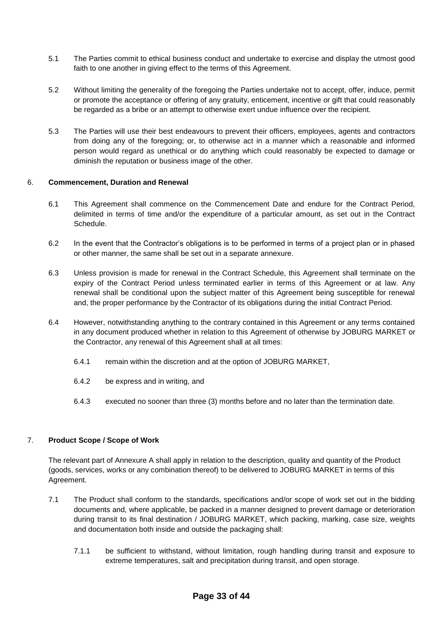- 5.1 The Parties commit to ethical business conduct and undertake to exercise and display the utmost good faith to one another in giving effect to the terms of this Agreement.
- 5.2 Without limiting the generality of the foregoing the Parties undertake not to accept, offer, induce, permit or promote the acceptance or offering of any gratuity, enticement, incentive or gift that could reasonably be regarded as a bribe or an attempt to otherwise exert undue influence over the recipient.
- 5.3 The Parties will use their best endeavours to prevent their officers, employees, agents and contractors from doing any of the foregoing; or, to otherwise act in a manner which a reasonable and informed person would regard as unethical or do anything which could reasonably be expected to damage or diminish the reputation or business image of the other.

#### 6. **Commencement, Duration and Renewal**

- 6.1 This Agreement shall commence on the Commencement Date and endure for the Contract Period, delimited in terms of time and/or the expenditure of a particular amount, as set out in the Contract Schedule.
- 6.2 In the event that the Contractor's obligations is to be performed in terms of a project plan or in phased or other manner, the same shall be set out in a separate annexure.
- 6.3 Unless provision is made for renewal in the Contract Schedule, this Agreement shall terminate on the expiry of the Contract Period unless terminated earlier in terms of this Agreement or at law. Any renewal shall be conditional upon the subject matter of this Agreement being susceptible for renewal and, the proper performance by the Contractor of its obligations during the initial Contract Period.
- 6.4 However, notwithstanding anything to the contrary contained in this Agreement or any terms contained in any document produced whether in relation to this Agreement of otherwise by JOBURG MARKET or the Contractor, any renewal of this Agreement shall at all times:
	- 6.4.1 remain within the discretion and at the option of JOBURG MARKET,
	- 6.4.2 be express and in writing, and
	- 6.4.3 executed no sooner than three (3) months before and no later than the termination date.

#### 7. **Product Scope / Scope of Work**

The relevant part of Annexure A shall apply in relation to the description, quality and quantity of the Product (goods, services, works or any combination thereof) to be delivered to JOBURG MARKET in terms of this Agreement.

- 7.1 The Product shall conform to the standards, specifications and/or scope of work set out in the bidding documents and, where applicable, be packed in a manner designed to prevent damage or deterioration during transit to its final destination / JOBURG MARKET, which packing, marking, case size, weights and documentation both inside and outside the packaging shall:
	- 7.1.1 be sufficient to withstand, without limitation, rough handling during transit and exposure to extreme temperatures, salt and precipitation during transit, and open storage.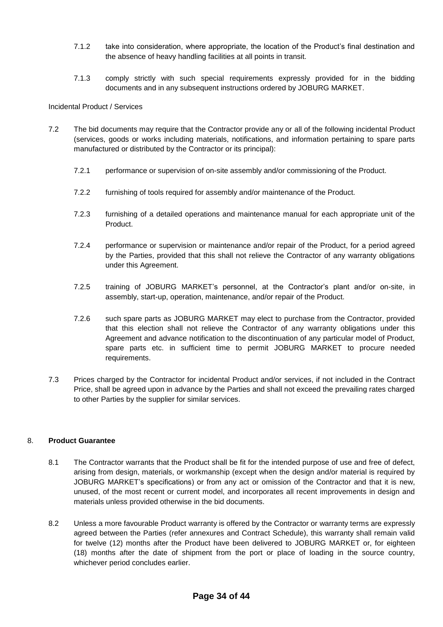- 7.1.2 take into consideration, where appropriate, the location of the Product's final destination and the absence of heavy handling facilities at all points in transit.
- 7.1.3 comply strictly with such special requirements expressly provided for in the bidding documents and in any subsequent instructions ordered by JOBURG MARKET.

#### Incidental Product / Services

- 7.2 The bid documents may require that the Contractor provide any or all of the following incidental Product (services, goods or works including materials, notifications, and information pertaining to spare parts manufactured or distributed by the Contractor or its principal):
	- 7.2.1 performance or supervision of on-site assembly and/or commissioning of the Product.
	- 7.2.2 furnishing of tools required for assembly and/or maintenance of the Product.
	- 7.2.3 furnishing of a detailed operations and maintenance manual for each appropriate unit of the Product.
	- 7.2.4 performance or supervision or maintenance and/or repair of the Product, for a period agreed by the Parties, provided that this shall not relieve the Contractor of any warranty obligations under this Agreement.
	- 7.2.5 training of JOBURG MARKET's personnel, at the Contractor's plant and/or on-site, in assembly, start-up, operation, maintenance, and/or repair of the Product.
	- 7.2.6 such spare parts as JOBURG MARKET may elect to purchase from the Contractor, provided that this election shall not relieve the Contractor of any warranty obligations under this Agreement and advance notification to the discontinuation of any particular model of Product, spare parts etc. in sufficient time to permit JOBURG MARKET to procure needed requirements.
- 7.3 Prices charged by the Contractor for incidental Product and/or services, if not included in the Contract Price, shall be agreed upon in advance by the Parties and shall not exceed the prevailing rates charged to other Parties by the supplier for similar services.

#### 8. **Product Guarantee**

- 8.1 The Contractor warrants that the Product shall be fit for the intended purpose of use and free of defect, arising from design, materials, or workmanship (except when the design and/or material is required by JOBURG MARKET's specifications) or from any act or omission of the Contractor and that it is new, unused, of the most recent or current model, and incorporates all recent improvements in design and materials unless provided otherwise in the bid documents.
- 8.2 Unless a more favourable Product warranty is offered by the Contractor or warranty terms are expressly agreed between the Parties (refer annexures and Contract Schedule), this warranty shall remain valid for twelve (12) months after the Product have been delivered to JOBURG MARKET or, for eighteen (18) months after the date of shipment from the port or place of loading in the source country, whichever period concludes earlier.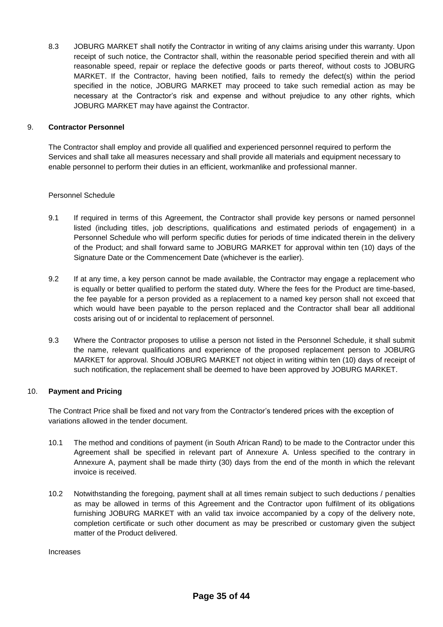8.3 JOBURG MARKET shall notify the Contractor in writing of any claims arising under this warranty. Upon receipt of such notice, the Contractor shall, within the reasonable period specified therein and with all reasonable speed, repair or replace the defective goods or parts thereof, without costs to JOBURG MARKET. If the Contractor, having been notified, fails to remedy the defect(s) within the period specified in the notice, JOBURG MARKET may proceed to take such remedial action as may be necessary at the Contractor's risk and expense and without prejudice to any other rights, which JOBURG MARKET may have against the Contractor.

#### 9. **Contractor Personnel**

The Contractor shall employ and provide all qualified and experienced personnel required to perform the Services and shall take all measures necessary and shall provide all materials and equipment necessary to enable personnel to perform their duties in an efficient, workmanlike and professional manner.

#### Personnel Schedule

- 9.1 If required in terms of this Agreement, the Contractor shall provide key persons or named personnel listed (including titles, job descriptions, qualifications and estimated periods of engagement) in a Personnel Schedule who will perform specific duties for periods of time indicated therein in the delivery of the Product; and shall forward same to JOBURG MARKET for approval within ten (10) days of the Signature Date or the Commencement Date (whichever is the earlier).
- 9.2 If at any time, a key person cannot be made available, the Contractor may engage a replacement who is equally or better qualified to perform the stated duty. Where the fees for the Product are time-based, the fee payable for a person provided as a replacement to a named key person shall not exceed that which would have been payable to the person replaced and the Contractor shall bear all additional costs arising out of or incidental to replacement of personnel.
- 9.3 Where the Contractor proposes to utilise a person not listed in the Personnel Schedule, it shall submit the name, relevant qualifications and experience of the proposed replacement person to JOBURG MARKET for approval. Should JOBURG MARKET not object in writing within ten (10) days of receipt of such notification, the replacement shall be deemed to have been approved by JOBURG MARKET.

#### 10. **Payment and Pricing**

The Contract Price shall be fixed and not vary from the Contractor's tendered prices with the exception of variations allowed in the tender document.

- 10.1 The method and conditions of payment (in South African Rand) to be made to the Contractor under this Agreement shall be specified in relevant part of Annexure A. Unless specified to the contrary in Annexure A, payment shall be made thirty (30) days from the end of the month in which the relevant invoice is received.
- 10.2 Notwithstanding the foregoing, payment shall at all times remain subject to such deductions / penalties as may be allowed in terms of this Agreement and the Contractor upon fulfilment of its obligations furnishing JOBURG MARKET with an valid tax invoice accompanied by a copy of the delivery note, completion certificate or such other document as may be prescribed or customary given the subject matter of the Product delivered.

Increases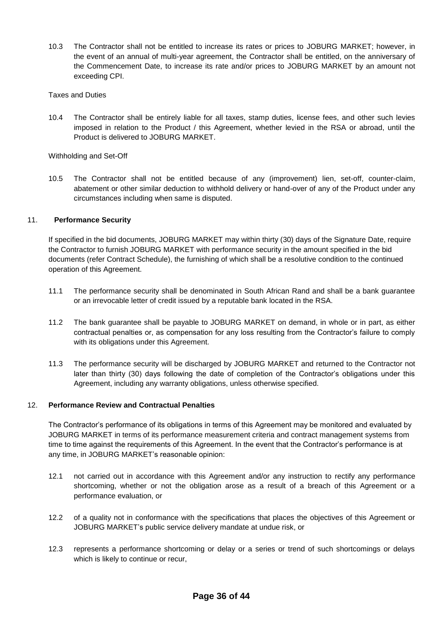10.3 The Contractor shall not be entitled to increase its rates or prices to JOBURG MARKET; however, in the event of an annual of multi-year agreement, the Contractor shall be entitled, on the anniversary of the Commencement Date, to increase its rate and/or prices to JOBURG MARKET by an amount not exceeding CPI.

#### Taxes and Duties

10.4 The Contractor shall be entirely liable for all taxes, stamp duties, license fees, and other such levies imposed in relation to the Product / this Agreement, whether levied in the RSA or abroad, until the Product is delivered to JOBURG MARKET.

Withholding and Set-Off

10.5 The Contractor shall not be entitled because of any (improvement) lien, set-off, counter-claim, abatement or other similar deduction to withhold delivery or hand-over of any of the Product under any circumstances including when same is disputed.

#### 11. **Performance Security**

If specified in the bid documents, JOBURG MARKET may within thirty (30) days of the Signature Date, require the Contractor to furnish JOBURG MARKET with performance security in the amount specified in the bid documents (refer Contract Schedule), the furnishing of which shall be a resolutive condition to the continued operation of this Agreement.

- 11.1 The performance security shall be denominated in South African Rand and shall be a bank guarantee or an irrevocable letter of credit issued by a reputable bank located in the RSA.
- 11.2 The bank guarantee shall be payable to JOBURG MARKET on demand, in whole or in part, as either contractual penalties or, as compensation for any loss resulting from the Contractor's failure to comply with its obligations under this Agreement.
- 11.3 The performance security will be discharged by JOBURG MARKET and returned to the Contractor not later than thirty (30) days following the date of completion of the Contractor's obligations under this Agreement, including any warranty obligations, unless otherwise specified.

#### 12. **Performance Review and Contractual Penalties**

The Contractor's performance of its obligations in terms of this Agreement may be monitored and evaluated by JOBURG MARKET in terms of its performance measurement criteria and contract management systems from time to time against the requirements of this Agreement. In the event that the Contractor's performance is at any time, in JOBURG MARKET's reasonable opinion:

- 12.1 not carried out in accordance with this Agreement and/or any instruction to rectify any performance shortcoming, whether or not the obligation arose as a result of a breach of this Agreement or a performance evaluation, or
- 12.2 of a quality not in conformance with the specifications that places the objectives of this Agreement or JOBURG MARKET's public service delivery mandate at undue risk, or
- 12.3 represents a performance shortcoming or delay or a series or trend of such shortcomings or delays which is likely to continue or recur,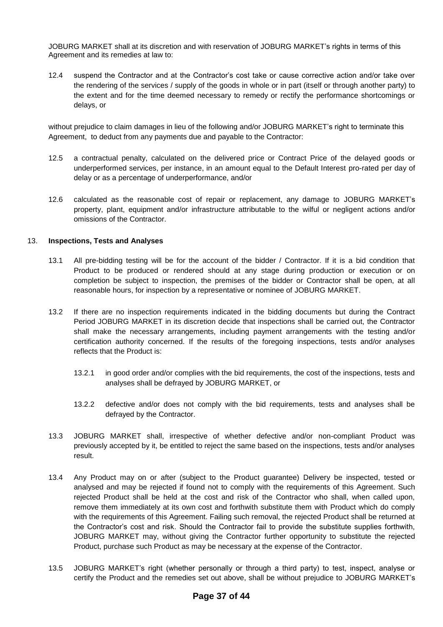JOBURG MARKET shall at its discretion and with reservation of JOBURG MARKET's rights in terms of this Agreement and its remedies at law to:

12.4 suspend the Contractor and at the Contractor's cost take or cause corrective action and/or take over the rendering of the services / supply of the goods in whole or in part (itself or through another party) to the extent and for the time deemed necessary to remedy or rectify the performance shortcomings or delays, or

without prejudice to claim damages in lieu of the following and/or JOBURG MARKET's right to terminate this Agreement, to deduct from any payments due and payable to the Contractor:

- 12.5 a contractual penalty, calculated on the delivered price or Contract Price of the delayed goods or underperformed services, per instance, in an amount equal to the Default Interest pro-rated per day of delay or as a percentage of underperformance, and/or
- 12.6 calculated as the reasonable cost of repair or replacement, any damage to JOBURG MARKET's property, plant, equipment and/or infrastructure attributable to the wilful or negligent actions and/or omissions of the Contractor.

#### 13. **Inspections, Tests and Analyses**

- 13.1 All pre-bidding testing will be for the account of the bidder / Contractor. If it is a bid condition that Product to be produced or rendered should at any stage during production or execution or on completion be subject to inspection, the premises of the bidder or Contractor shall be open, at all reasonable hours, for inspection by a representative or nominee of JOBURG MARKET.
- 13.2 If there are no inspection requirements indicated in the bidding documents but during the Contract Period JOBURG MARKET in its discretion decide that inspections shall be carried out, the Contractor shall make the necessary arrangements, including payment arrangements with the testing and/or certification authority concerned. If the results of the foregoing inspections, tests and/or analyses reflects that the Product is:
	- 13.2.1 in good order and/or complies with the bid requirements, the cost of the inspections, tests and analyses shall be defrayed by JOBURG MARKET, or
	- 13.2.2 defective and/or does not comply with the bid requirements, tests and analyses shall be defrayed by the Contractor.
- 13.3 JOBURG MARKET shall, irrespective of whether defective and/or non-compliant Product was previously accepted by it, be entitled to reject the same based on the inspections, tests and/or analyses result.
- 13.4 Any Product may on or after (subject to the Product guarantee) Delivery be inspected, tested or analysed and may be rejected if found not to comply with the requirements of this Agreement. Such rejected Product shall be held at the cost and risk of the Contractor who shall, when called upon, remove them immediately at its own cost and forthwith substitute them with Product which do comply with the requirements of this Agreement. Failing such removal, the rejected Product shall be returned at the Contractor's cost and risk. Should the Contractor fail to provide the substitute supplies forthwith, JOBURG MARKET may, without giving the Contractor further opportunity to substitute the rejected Product, purchase such Product as may be necessary at the expense of the Contractor.
- 13.5 JOBURG MARKET's right (whether personally or through a third party) to test, inspect, analyse or certify the Product and the remedies set out above, shall be without prejudice to JOBURG MARKET's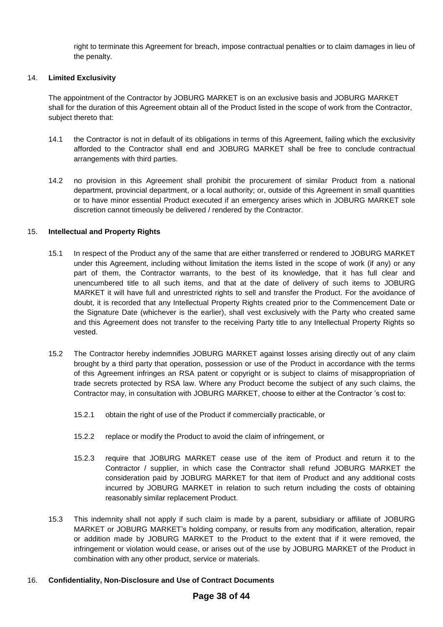right to terminate this Agreement for breach, impose contractual penalties or to claim damages in lieu of the penalty.

#### 14. **Limited Exclusivity**

The appointment of the Contractor by JOBURG MARKET is on an exclusive basis and JOBURG MARKET shall for the duration of this Agreement obtain all of the Product listed in the scope of work from the Contractor, subject thereto that:

- 14.1 the Contractor is not in default of its obligations in terms of this Agreement, failing which the exclusivity afforded to the Contractor shall end and JOBURG MARKET shall be free to conclude contractual arrangements with third parties.
- 14.2 no provision in this Agreement shall prohibit the procurement of similar Product from a national department, provincial department, or a local authority; or, outside of this Agreement in small quantities or to have minor essential Product executed if an emergency arises which in JOBURG MARKET sole discretion cannot timeously be delivered / rendered by the Contractor.

#### 15. **Intellectual and Property Rights**

- 15.1 In respect of the Product any of the same that are either transferred or rendered to JOBURG MARKET under this Agreement, including without limitation the items listed in the scope of work (if any) or any part of them, the Contractor warrants, to the best of its knowledge, that it has full clear and unencumbered title to all such items, and that at the date of delivery of such items to JOBURG MARKET it will have full and unrestricted rights to sell and transfer the Product. For the avoidance of doubt, it is recorded that any Intellectual Property Rights created prior to the Commencement Date or the Signature Date (whichever is the earlier), shall vest exclusively with the Party who created same and this Agreement does not transfer to the receiving Party title to any Intellectual Property Rights so vested.
- 15.2 The Contractor hereby indemnifies JOBURG MARKET against losses arising directly out of any claim brought by a third party that operation, possession or use of the Product in accordance with the terms of this Agreement infringes an RSA patent or copyright or is subject to claims of misappropriation of trade secrets protected by RSA law. Where any Product become the subject of any such claims, the Contractor may, in consultation with JOBURG MARKET, choose to either at the Contractor 's cost to:
	- 15.2.1 obtain the right of use of the Product if commercially practicable, or
	- 15.2.2 replace or modify the Product to avoid the claim of infringement, or
	- 15.2.3 require that JOBURG MARKET cease use of the item of Product and return it to the Contractor / supplier, in which case the Contractor shall refund JOBURG MARKET the consideration paid by JOBURG MARKET for that item of Product and any additional costs incurred by JOBURG MARKET in relation to such return including the costs of obtaining reasonably similar replacement Product.
- 15.3 This indemnity shall not apply if such claim is made by a parent, subsidiary or affiliate of JOBURG MARKET or JOBURG MARKET's holding company, or results from any modification, alteration, repair or addition made by JOBURG MARKET to the Product to the extent that if it were removed, the infringement or violation would cease, or arises out of the use by JOBURG MARKET of the Product in combination with any other product, service or materials.

#### 16. **Confidentiality, Non-Disclosure and Use of Contract Documents**

#### **Page 38 of 44**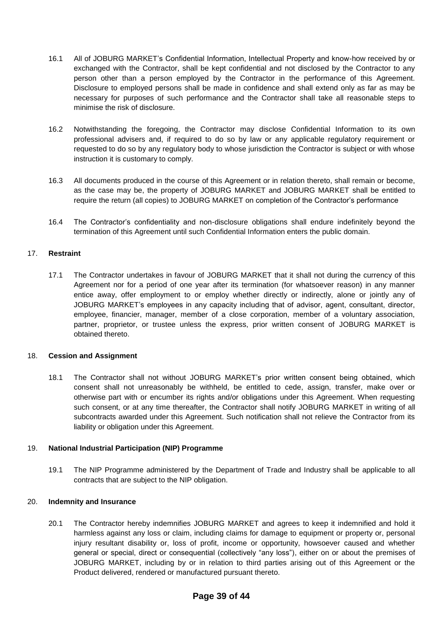- 16.1 All of JOBURG MARKET's Confidential Information, Intellectual Property and know-how received by or exchanged with the Contractor, shall be kept confidential and not disclosed by the Contractor to any person other than a person employed by the Contractor in the performance of this Agreement. Disclosure to employed persons shall be made in confidence and shall extend only as far as may be necessary for purposes of such performance and the Contractor shall take all reasonable steps to minimise the risk of disclosure.
- 16.2 Notwithstanding the foregoing, the Contractor may disclose Confidential Information to its own professional advisers and, if required to do so by law or any applicable regulatory requirement or requested to do so by any regulatory body to whose jurisdiction the Contractor is subject or with whose instruction it is customary to comply.
- 16.3 All documents produced in the course of this Agreement or in relation thereto, shall remain or become, as the case may be, the property of JOBURG MARKET and JOBURG MARKET shall be entitled to require the return (all copies) to JOBURG MARKET on completion of the Contractor's performance
- 16.4 The Contractor's confidentiality and non-disclosure obligations shall endure indefinitely beyond the termination of this Agreement until such Confidential Information enters the public domain.

#### 17. **Restraint**

17.1 The Contractor undertakes in favour of JOBURG MARKET that it shall not during the currency of this Agreement nor for a period of one year after its termination (for whatsoever reason) in any manner entice away, offer employment to or employ whether directly or indirectly, alone or jointly any of JOBURG MARKET's employees in any capacity including that of advisor, agent, consultant, director, employee, financier, manager, member of a close corporation, member of a voluntary association, partner, proprietor, or trustee unless the express, prior written consent of JOBURG MARKET is obtained thereto.

#### 18. **Cession and Assignment**

18.1 The Contractor shall not without JOBURG MARKET's prior written consent being obtained, which consent shall not unreasonably be withheld, be entitled to cede, assign, transfer, make over or otherwise part with or encumber its rights and/or obligations under this Agreement. When requesting such consent, or at any time thereafter, the Contractor shall notify JOBURG MARKET in writing of all subcontracts awarded under this Agreement. Such notification shall not relieve the Contractor from its liability or obligation under this Agreement.

#### 19. **National Industrial Participation (NIP) Programme**

19.1 The NIP Programme administered by the Department of Trade and Industry shall be applicable to all contracts that are subject to the NIP obligation.

#### 20. **Indemnity and Insurance**

20.1 The Contractor hereby indemnifies JOBURG MARKET and agrees to keep it indemnified and hold it harmless against any loss or claim, including claims for damage to equipment or property or, personal injury resultant disability or, loss of profit, income or opportunity, howsoever caused and whether general or special, direct or consequential (collectively "any loss"), either on or about the premises of JOBURG MARKET, including by or in relation to third parties arising out of this Agreement or the Product delivered, rendered or manufactured pursuant thereto.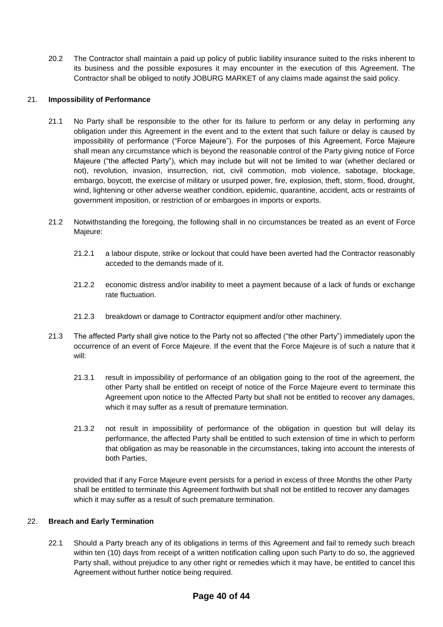20.2 The Contractor shall maintain a paid up policy of public liability insurance suited to the risks inherent to its business and the possible exposures it may encounter in the execution of this Agreement. The Contractor shall be obliged to notify JOBURG MARKET of any claims made against the said policy.

#### 21. **Impossibility of Performance**

- 21.1 No Party shall be responsible to the other for its failure to perform or any delay in performing any obligation under this Agreement in the event and to the extent that such failure or delay is caused by impossibility of performance ("Force Majeure"). For the purposes of this Agreement, Force Majeure shall mean any circumstance which is beyond the reasonable control of the Party giving notice of Force Majeure ("the affected Party"), which may include but will not be limited to war (whether declared or not), revolution, invasion, insurrection, riot, civil commotion, mob violence, sabotage, blockage, embargo, boycott, the exercise of military or usurped power, fire, explosion, theft, storm, flood, drought, wind, lightening or other adverse weather condition, epidemic, quarantine, accident, acts or restraints of government imposition, or restriction of or embargoes in imports or exports.
- 21.2 Notwithstanding the foregoing, the following shall in no circumstances be treated as an event of Force Majeure:
	- 21.2.1 a labour dispute, strike or lockout that could have been averted had the Contractor reasonably acceded to the demands made of it.
	- 21.2.2 economic distress and/or inability to meet a payment because of a lack of funds or exchange rate fluctuation.
	- 21.2.3 breakdown or damage to Contractor equipment and/or other machinery.
- 21.3 The affected Party shall give notice to the Party not so affected ("the other Party") immediately upon the occurrence of an event of Force Majeure. If the event that the Force Majeure is of such a nature that it will:
	- 21.3.1 result in impossibility of performance of an obligation going to the root of the agreement, the other Party shall be entitled on receipt of notice of the Force Majeure event to terminate this Agreement upon notice to the Affected Party but shall not be entitled to recover any damages, which it may suffer as a result of premature termination.
	- 21.3.2 not result in impossibility of performance of the obligation in question but will delay its performance, the affected Party shall be entitled to such extension of time in which to perform that obligation as may be reasonable in the circumstances, taking into account the interests of both Parties,

provided that if any Force Majeure event persists for a period in excess of three Months the other Party shall be entitled to terminate this Agreement forthwith but shall not be entitled to recover any damages which it may suffer as a result of such premature termination.

#### 22. **Breach and Early Termination**

22.1 Should a Party breach any of its obligations in terms of this Agreement and fail to remedy such breach within ten (10) days from receipt of a written notification calling upon such Party to do so, the aggrieved Party shall, without prejudice to any other right or remedies which it may have, be entitled to cancel this Agreement without further notice being required.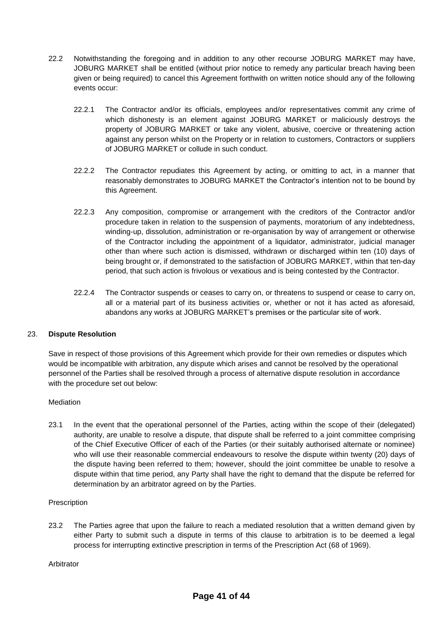- 22.2 Notwithstanding the foregoing and in addition to any other recourse JOBURG MARKET may have, JOBURG MARKET shall be entitled (without prior notice to remedy any particular breach having been given or being required) to cancel this Agreement forthwith on written notice should any of the following events occur:
	- 22.2.1 The Contractor and/or its officials, employees and/or representatives commit any crime of which dishonesty is an element against JOBURG MARKET or maliciously destroys the property of JOBURG MARKET or take any violent, abusive, coercive or threatening action against any person whilst on the Property or in relation to customers, Contractors or suppliers of JOBURG MARKET or collude in such conduct.
	- 22.2.2 The Contractor repudiates this Agreement by acting, or omitting to act, in a manner that reasonably demonstrates to JOBURG MARKET the Contractor's intention not to be bound by this Agreement.
	- 22.2.3 Any composition, compromise or arrangement with the creditors of the Contractor and/or procedure taken in relation to the suspension of payments, moratorium of any indebtedness, winding-up, dissolution, administration or re-organisation by way of arrangement or otherwise of the Contractor including the appointment of a liquidator, administrator, judicial manager other than where such action is dismissed, withdrawn or discharged within ten (10) days of being brought or, if demonstrated to the satisfaction of JOBURG MARKET, within that ten-day period, that such action is frivolous or vexatious and is being contested by the Contractor.
	- 22.2.4 The Contractor suspends or ceases to carry on, or threatens to suspend or cease to carry on, all or a material part of its business activities or, whether or not it has acted as aforesaid, abandons any works at JOBURG MARKET's premises or the particular site of work.

#### 23. **Dispute Resolution**

Save in respect of those provisions of this Agreement which provide for their own remedies or disputes which would be incompatible with arbitration, any dispute which arises and cannot be resolved by the operational personnel of the Parties shall be resolved through a process of alternative dispute resolution in accordance with the procedure set out below:

#### Mediation

23.1 In the event that the operational personnel of the Parties, acting within the scope of their (delegated) authority, are unable to resolve a dispute, that dispute shall be referred to a joint committee comprising of the Chief Executive Officer of each of the Parties (or their suitably authorised alternate or nominee) who will use their reasonable commercial endeavours to resolve the dispute within twenty (20) days of the dispute having been referred to them; however, should the joint committee be unable to resolve a dispute within that time period, any Party shall have the right to demand that the dispute be referred for determination by an arbitrator agreed on by the Parties.

#### **Prescription**

23.2 The Parties agree that upon the failure to reach a mediated resolution that a written demand given by either Party to submit such a dispute in terms of this clause to arbitration is to be deemed a legal process for interrupting extinctive prescription in terms of the Prescription Act (68 of 1969).

Arbitrator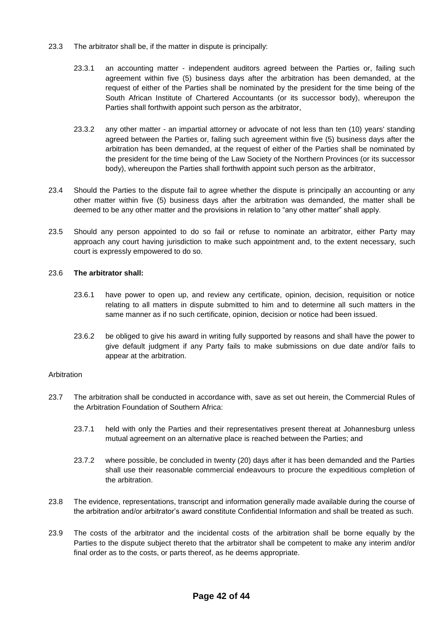- 23.3 The arbitrator shall be, if the matter in dispute is principally:
	- 23.3.1 an accounting matter independent auditors agreed between the Parties or, failing such agreement within five (5) business days after the arbitration has been demanded, at the request of either of the Parties shall be nominated by the president for the time being of the South African Institute of Chartered Accountants (or its successor body), whereupon the Parties shall forthwith appoint such person as the arbitrator,
	- 23.3.2 any other matter an impartial attorney or advocate of not less than ten (10) years' standing agreed between the Parties or, failing such agreement within five (5) business days after the arbitration has been demanded, at the request of either of the Parties shall be nominated by the president for the time being of the Law Society of the Northern Provinces (or its successor body), whereupon the Parties shall forthwith appoint such person as the arbitrator,
- 23.4 Should the Parties to the dispute fail to agree whether the dispute is principally an accounting or any other matter within five (5) business days after the arbitration was demanded, the matter shall be deemed to be any other matter and the provisions in relation to "any other matter" shall apply.
- 23.5 Should any person appointed to do so fail or refuse to nominate an arbitrator, either Party may approach any court having jurisdiction to make such appointment and, to the extent necessary, such court is expressly empowered to do so.

#### 23.6 **The arbitrator shall:**

- 23.6.1 have power to open up, and review any certificate, opinion, decision, requisition or notice relating to all matters in dispute submitted to him and to determine all such matters in the same manner as if no such certificate, opinion, decision or notice had been issued.
- 23.6.2 be obliged to give his award in writing fully supported by reasons and shall have the power to give default judgment if any Party fails to make submissions on due date and/or fails to appear at the arbitration.

#### Arbitration

- 23.7 The arbitration shall be conducted in accordance with, save as set out herein, the Commercial Rules of the Arbitration Foundation of Southern Africa:
	- 23.7.1 held with only the Parties and their representatives present thereat at Johannesburg unless mutual agreement on an alternative place is reached between the Parties; and
	- 23.7.2 where possible, be concluded in twenty (20) days after it has been demanded and the Parties shall use their reasonable commercial endeavours to procure the expeditious completion of the arbitration.
- 23.8 The evidence, representations, transcript and information generally made available during the course of the arbitration and/or arbitrator's award constitute Confidential Information and shall be treated as such.
- 23.9 The costs of the arbitrator and the incidental costs of the arbitration shall be borne equally by the Parties to the dispute subject thereto that the arbitrator shall be competent to make any interim and/or final order as to the costs, or parts thereof, as he deems appropriate.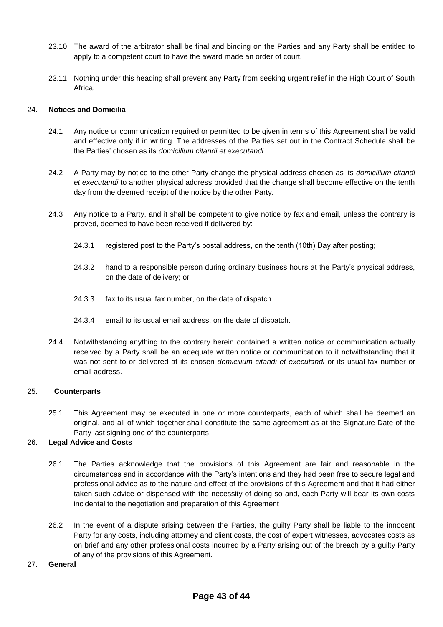- 23.10 The award of the arbitrator shall be final and binding on the Parties and any Party shall be entitled to apply to a competent court to have the award made an order of court.
- 23.11 Nothing under this heading shall prevent any Party from seeking urgent relief in the High Court of South Africa.

#### 24. **Notices and Domicilia**

- 24.1 Any notice or communication required or permitted to be given in terms of this Agreement shall be valid and effective only if in writing. The addresses of the Parties set out in the Contract Schedule shall be the Parties' chosen as its *domicilium citandi et executandi.*
- 24.2 A Party may by notice to the other Party change the physical address chosen as its *domicilium citandi et executandi* to another physical address provided that the change shall become effective on the tenth day from the deemed receipt of the notice by the other Party.
- 24.3 Any notice to a Party, and it shall be competent to give notice by fax and email, unless the contrary is proved, deemed to have been received if delivered by:
	- 24.3.1 registered post to the Party's postal address, on the tenth (10th) Day after posting;
	- 24.3.2 hand to a responsible person during ordinary business hours at the Party's physical address, on the date of delivery; or
	- 24.3.3 fax to its usual fax number, on the date of dispatch.
	- 24.3.4 email to its usual email address, on the date of dispatch.
- 24.4 Notwithstanding anything to the contrary herein contained a written notice or communication actually received by a Party shall be an adequate written notice or communication to it notwithstanding that it was not sent to or delivered at its chosen *domicilium citandi et executandi* or its usual fax number or email address.

#### 25. **Counterparts**

25.1 This Agreement may be executed in one or more counterparts, each of which shall be deemed an original, and all of which together shall constitute the same agreement as at the Signature Date of the Party last signing one of the counterparts.

#### 26. **Legal Advice and Costs**

- 26.1 The Parties acknowledge that the provisions of this Agreement are fair and reasonable in the circumstances and in accordance with the Party's intentions and they had been free to secure legal and professional advice as to the nature and effect of the provisions of this Agreement and that it had either taken such advice or dispensed with the necessity of doing so and, each Party will bear its own costs incidental to the negotiation and preparation of this Agreement
- 26.2 In the event of a dispute arising between the Parties, the guilty Party shall be liable to the innocent Party for any costs, including attorney and client costs, the cost of expert witnesses, advocates costs as on brief and any other professional costs incurred by a Party arising out of the breach by a guilty Party of any of the provisions of this Agreement.

#### 27. **General**